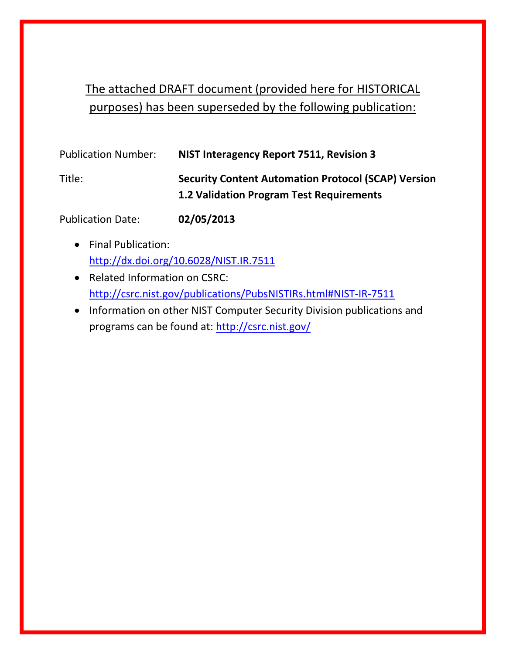# The attached DRAFT document (provided here for HISTORICAL purposes) has been superseded by the following publication:

| <b>Publication Number:</b> | NIST Interagency Report 7511, Revision 3                                                                      |
|----------------------------|---------------------------------------------------------------------------------------------------------------|
| Title:                     | <b>Security Content Automation Protocol (SCAP) Version</b><br><b>1.2 Validation Program Test Requirements</b> |

Publication Date: **02/05/2013**

- Final Publication: <http://dx.doi.org/10.6028/NIST.IR.7511>
- Related Information on CSRC: <http://csrc.nist.gov/publications/PubsNISTIRs.html#NIST-IR-7511>
- Information on other NIST Computer Security Division publications and programs can be found at:<http://csrc.nist.gov/>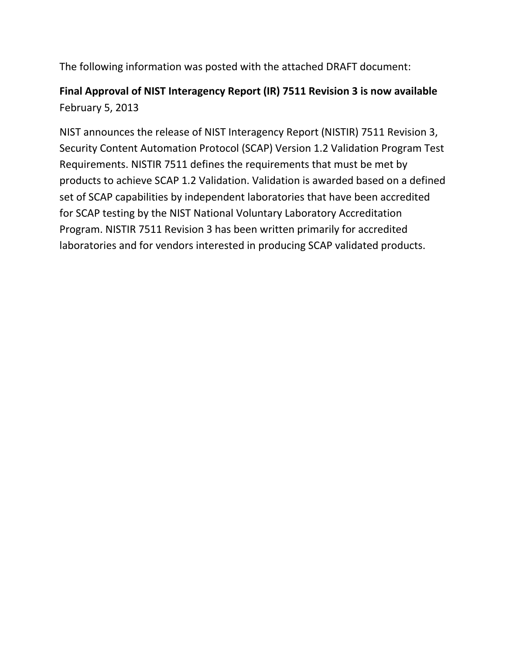The following information was posted with the attached DRAFT document:

# **Final Approval of NIST Interagency Report (IR) 7511 Revision 3 is now available** February 5, 2013

NIST announces the release of NIST Interagency Report (NISTIR) 7511 Revision 3, Security Content Automation Protocol (SCAP) Version 1.2 Validation Program Test Requirements. NISTIR 7511 defines the requirements that must be met by products to achieve SCAP 1.2 Validation. Validation is awarded based on a defined set of SCAP capabilities by independent laboratories that have been accredited for SCAP testing by the NIST National Voluntary Laboratory Accreditation Program. NISTIR 7511 Revision 3 has been written primarily for accredited laboratories and for vendors interested in producing SCAP validated products.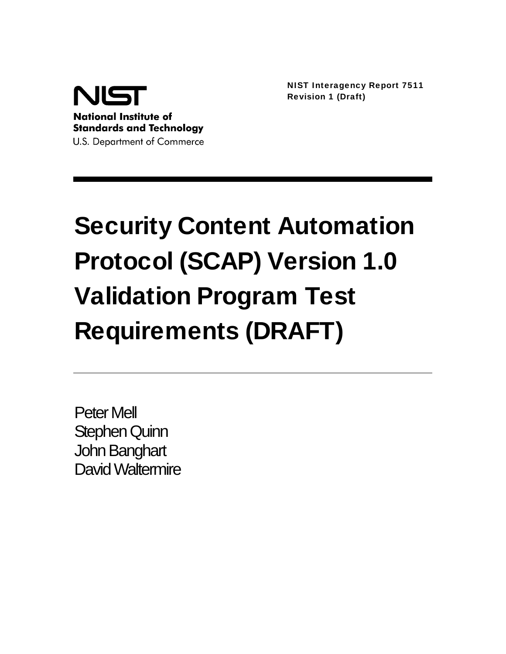

NIST Interagency Report 7511 Revision 1 (Draft)

# Security Content Automation Protocol (SCAP) Version 1.0 Validation Program Test Requirements (DRAFT)

Peter Mell Stephen Quinn John Banghart David Waltermire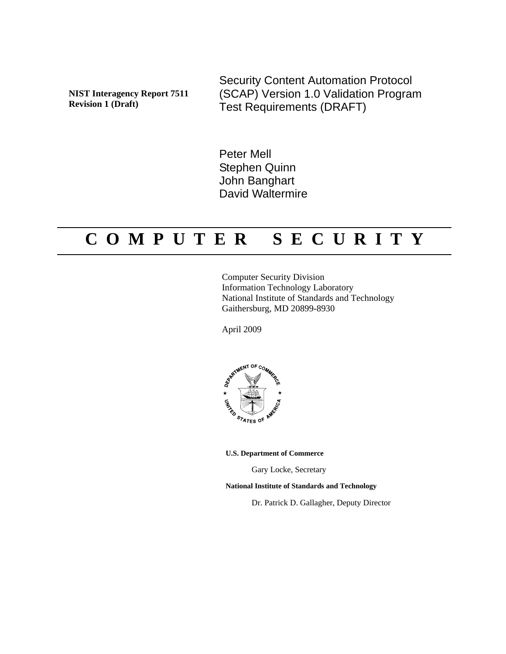**NIST Interagency Report 7511 Revision 1 (Draft)** 

Security Content Automation Protocol (SCAP) Version 1.0 Validation Program Test Requirements (DRAFT)

Peter Mell Stephen Quinn John Banghart David Waltermire

# **C O M P U T E R S E C U R I T Y**

Computer Security Division Information Technology Laboratory National Institute of Standards and Technology Gaithersburg, MD 20899-8930

April 2009



**U.S. Department of Commerce** 

Gary Locke, Secretary

**National Institute of Standards and Technology** 

Dr. Patrick D. Gallagher, Deputy Director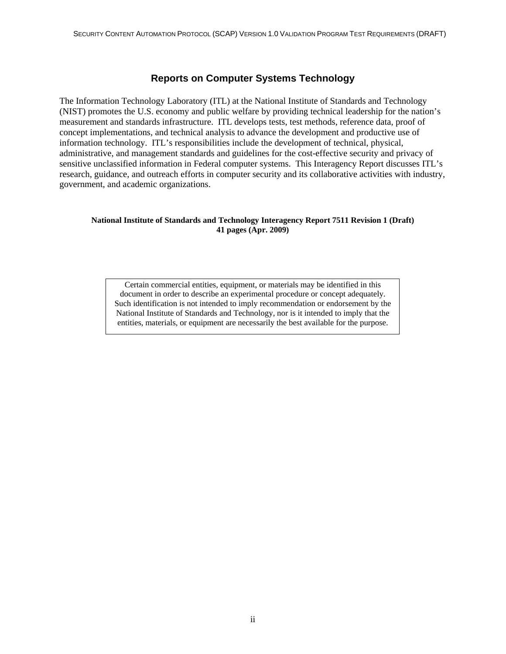#### **Reports on Computer Systems Technology**

The Information Technology Laboratory (ITL) at the National Institute of Standards and Technology (NIST) promotes the U.S. economy and public welfare by providing technical leadership for the nation's measurement and standards infrastructure. ITL develops tests, test methods, reference data, proof of concept implementations, and technical analysis to advance the development and productive use of information technology. ITL's responsibilities include the development of technical, physical, administrative, and management standards and guidelines for the cost-effective security and privacy of sensitive unclassified information in Federal computer systems. This Interagency Report discusses ITL's research, guidance, and outreach efforts in computer security and its collaborative activities with industry, government, and academic organizations.

#### **National Institute of Standards and Technology Interagency Report 7511 Revision 1 (Draft) 41 pages (Apr. 2009)**

Certain commercial entities, equipment, or materials may be identified in this document in order to describe an experimental procedure or concept adequately. Such identification is not intended to imply recommendation or endorsement by the National Institute of Standards and Technology, nor is it intended to imply that the entities, materials, or equipment are necessarily the best available for the purpose.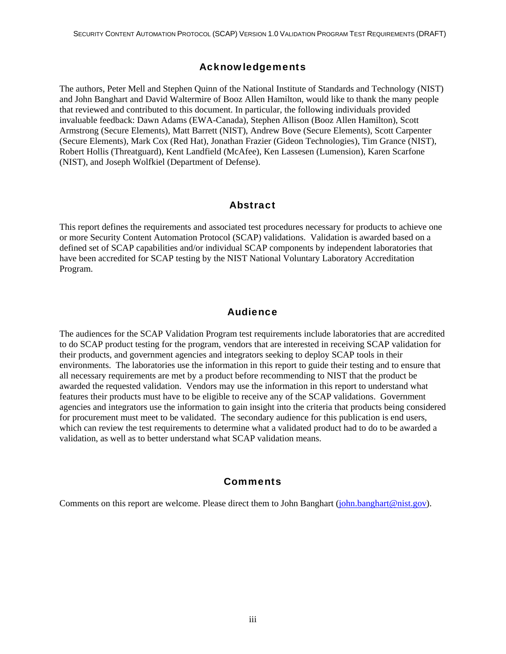#### Acknowledgements

The authors, Peter Mell and Stephen Quinn of the National Institute of Standards and Technology (NIST) and John Banghart and David Waltermire of Booz Allen Hamilton, would like to thank the many people that reviewed and contributed to this document. In particular, the following individuals provided invaluable feedback: Dawn Adams (EWA-Canada), Stephen Allison (Booz Allen Hamilton), Scott Armstrong (Secure Elements), Matt Barrett (NIST), Andrew Bove (Secure Elements), Scott Carpenter (Secure Elements), Mark Cox (Red Hat), Jonathan Frazier (Gideon Technologies), Tim Grance (NIST), Robert Hollis (Threatguard), Kent Landfield (McAfee), Ken Lassesen (Lumension), Karen Scarfone (NIST), and Joseph Wolfkiel (Department of Defense).

#### Abstract

This report defines the requirements and associated test procedures necessary for products to achieve one or more Security Content Automation Protocol (SCAP) validations. Validation is awarded based on a defined set of SCAP capabilities and/or individual SCAP components by independent laboratories that have been accredited for SCAP testing by the NIST National Voluntary Laboratory Accreditation Program.

#### **Audience**

The audiences for the SCAP Validation Program test requirements include laboratories that are accredited to do SCAP product testing for the program, vendors that are interested in receiving SCAP validation for their products, and government agencies and integrators seeking to deploy SCAP tools in their environments. The laboratories use the information in this report to guide their testing and to ensure that all necessary requirements are met by a product before recommending to NIST that the product be awarded the requested validation. Vendors may use the information in this report to understand what features their products must have to be eligible to receive any of the SCAP validations. Government agencies and integrators use the information to gain insight into the criteria that products being considered for procurement must meet to be validated. The secondary audience for this publication is end users, which can review the test requirements to determine what a validated product had to do to be awarded a validation, as well as to better understand what SCAP validation means.

#### **Comments**

Comments on this report are welcome. Please direct them to John Banghart [\(john.banghart@nist.gov](mailto:john.banghart@nist.gov)).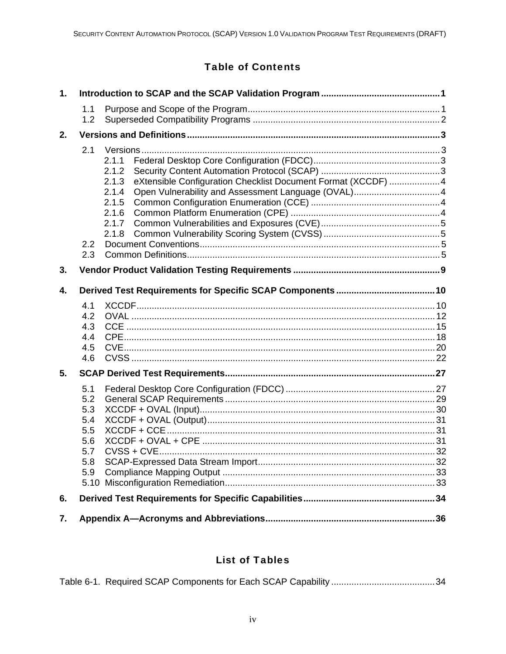# **Table of Contents**

| $\mathbf{1}$ . |                                                             |                                                                                                                                      |  |  |  |  |  |  |  |  |
|----------------|-------------------------------------------------------------|--------------------------------------------------------------------------------------------------------------------------------------|--|--|--|--|--|--|--|--|
|                | 1.1<br>1.2                                                  |                                                                                                                                      |  |  |  |  |  |  |  |  |
| 2.             |                                                             |                                                                                                                                      |  |  |  |  |  |  |  |  |
|                | 2.1<br>2.2<br>2.3                                           | 2.1.1<br>2.1.2<br>eXtensible Configuration Checklist Document Format (XCCDF) 4<br>2.1.3<br>2.1.4<br>2.1.5<br>2.1.6<br>2.1.7<br>2.1.8 |  |  |  |  |  |  |  |  |
| 3.             |                                                             |                                                                                                                                      |  |  |  |  |  |  |  |  |
| 4.             |                                                             |                                                                                                                                      |  |  |  |  |  |  |  |  |
|                | 4.1<br>4.2<br>4.3<br>4.4<br>4.5<br>4.6                      |                                                                                                                                      |  |  |  |  |  |  |  |  |
| 5.             |                                                             |                                                                                                                                      |  |  |  |  |  |  |  |  |
|                | 5.1<br>5.2<br>5.3<br>5.4<br>5.5<br>5.6<br>5.7<br>5.8<br>5.9 |                                                                                                                                      |  |  |  |  |  |  |  |  |
| 6.             |                                                             |                                                                                                                                      |  |  |  |  |  |  |  |  |
| 7.             |                                                             |                                                                                                                                      |  |  |  |  |  |  |  |  |

## **List of Tables**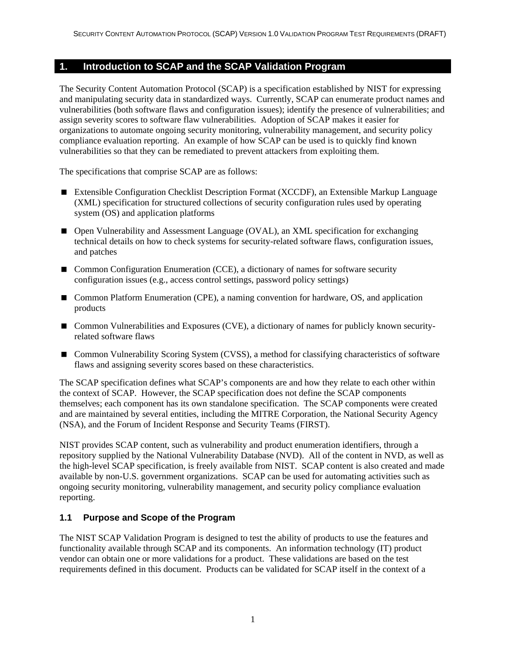#### <span id="page-7-0"></span>**1. Introduction to SCAP and the SCAP Validation Program**

The Security Content Automation Protocol (SCAP) is a specification established by NIST for expressing and manipulating security data in standardized ways. Currently, SCAP can enumerate product names and vulnerabilities (both software flaws and configuration issues); identify the presence of vulnerabilities; and assign severity scores to software flaw vulnerabilities. Adoption of SCAP makes it easier for organizations to automate ongoing security monitoring, vulnerability management, and security policy compliance evaluation reporting. An example of how SCAP can be used is to quickly find known vulnerabilities so that they can be remediated to prevent attackers from exploiting them.

The specifications that comprise SCAP are as follows:

- Extensible Configuration Checklist Description Format (XCCDF), an Extensible Markup Language (XML) specification for structured collections of security configuration rules used by operating system (OS) and application platforms
- Open Vulnerability and Assessment Language (OVAL), an XML specification for exchanging technical details on how to check systems for security-related software flaws, configuration issues, and patches
- Common Configuration Enumeration (CCE), a dictionary of names for software security configuration issues (e.g., access control settings, password policy settings)
- Common Platform Enumeration (CPE), a naming convention for hardware, OS, and application products
- Common Vulnerabilities and Exposures (CVE), a dictionary of names for publicly known securityrelated software flaws
- Common Vulnerability Scoring System (CVSS), a method for classifying characteristics of software flaws and assigning severity scores based on these characteristics.

The SCAP specification defines what SCAP's components are and how they relate to each other within the context of SCAP. However, the SCAP specification does not define the SCAP components themselves; each component has its own standalone specification. The SCAP components were created and are maintained by several entities, including the MITRE Corporation, the National Security Agency (NSA), and the Forum of Incident Response and Security Teams (FIRST).

NIST provides SCAP content, such as vulnerability and product enumeration identifiers, through a repository supplied by the National Vulnerability Database (NVD). All of the content in NVD, as well as the high-level SCAP specification, is freely available from NIST. SCAP content is also created and made available by non-U.S. government organizations. SCAP can be used for automating activities such as ongoing security monitoring, vulnerability management, and security policy compliance evaluation reporting.

#### **1.1 Purpose and Scope of the Program**

The NIST SCAP Validation Program is designed to test the ability of products to use the features and functionality available through SCAP and its components. An information technology (IT) product vendor can obtain one or more validations for a product. These validations are based on the test requirements defined in this document. Products can be validated for SCAP itself in the context of a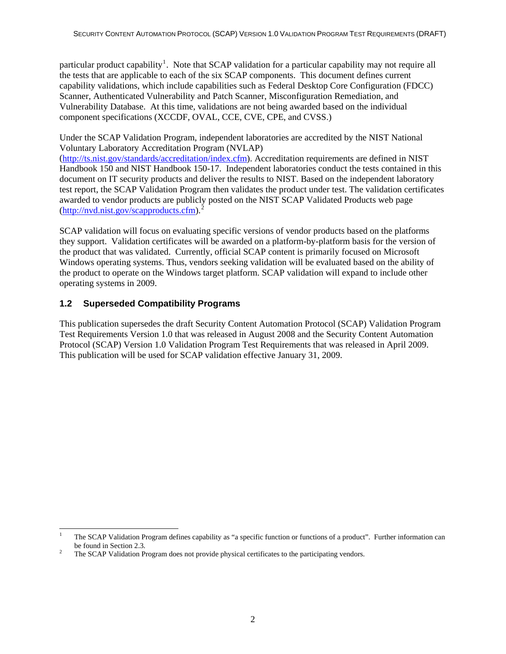<span id="page-8-0"></span>particular product capability<sup>[1](#page-8-1)</sup>. Note that SCAP validation for a particular capability may not require all the tests that are applicable to each of the six SCAP components. This document defines current capability validations, which include capabilities such as Federal Desktop Core Configuration (FDCC) Scanner, Authenticated Vulnerability and Patch Scanner, Misconfiguration Remediation, and Vulnerability Database. At this time, validations are not being awarded based on the individual component specifications (XCCDF, OVAL, CCE, CVE, CPE, and CVSS.)

Under the SCAP Validation Program, independent laboratories are accredited by the NIST National Voluntary Laboratory Accreditation Program (NVLAP)

([http://ts.nist.gov/standards/accreditation/index.cfm\)](http://ts.nist.gov/standards/accreditation/index.cfm). Accreditation requirements are defined in NIST Handbook 150 and NIST Handbook 150-17. Independent laboratories conduct the tests contained in this document on IT security products and deliver the results to NIST. Based on the independent laboratory test report, the SCAP Validation Program then validates the product under test. The validation certificates awarded to vendor products are publicly posted on the NIST SCAP Validated Products web page  $(\text{http://nvd.nist.gov/scapproducts.cfm}).^2$  $(\text{http://nvd.nist.gov/scapproducts.cfm}).^2$ 

SCAP validation will focus on evaluating specific versions of vendor products based on the platforms they support. Validation certificates will be awarded on a platform-by-platform basis for the version of the product that was validated. Currently, official SCAP content is primarily focused on Microsoft Windows operating systems. Thus, vendors seeking validation will be evaluated based on the ability of the product to operate on the Windows target platform. SCAP validation will expand to include other operating systems in 2009.

#### **1.2 Superseded Compatibility Programs**

This publication supersedes the draft Security Content Automation Protocol (SCAP) Validation Program Test Requirements Version 1.0 that was released in August 2008 and the Security Content Automation Protocol (SCAP) Version 1.0 Validation Program Test Requirements that was released in April 2009. This publication will be used for SCAP validation effective January 31, 2009.

<span id="page-8-1"></span> $\frac{1}{1}$  The SCAP Validation Program defines capability as "a specific function or functions of a product". Further information can be found in Section 2.3.<br> $\frac{2}{\pi}$ 

<span id="page-8-2"></span>The SCAP Validation Program does not provide physical certificates to the participating vendors.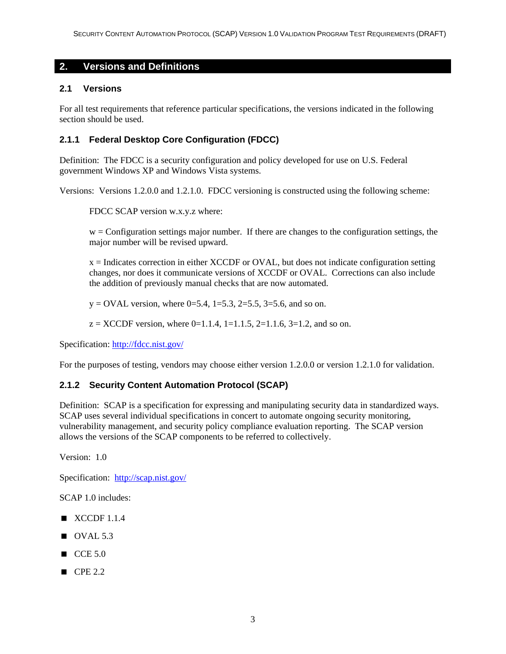#### <span id="page-9-0"></span>**2. Versions and Definitions**

#### **2.1 Versions**

For all test requirements that reference particular specifications, the versions indicated in the following section should be used.

#### **2.1.1 Federal Desktop Core Configuration (FDCC)**

Definition: The FDCC is a security configuration and policy developed for use on U.S. Federal government Windows XP and Windows Vista systems.

Versions: Versions 1.2.0.0 and 1.2.1.0. FDCC versioning is constructed using the following scheme:

FDCC SCAP version w.x.y.z where:

w = Configuration settings major number. If there are changes to the configuration settings, the major number will be revised upward.

x = Indicates correction in either XCCDF or OVAL, but does not indicate configuration setting changes, nor does it communicate versions of XCCDF or OVAL. Corrections can also include the addition of previously manual checks that are now automated.

 $y = OVAL$  version, where 0=5.4, 1=5.3, 2=5.5, 3=5.6, and so on.

 $z = XCCDF$  version, where 0=1.1.4, 1=1.1.5, 2=1.1.6, 3=1.2, and so on.

Specification: <http://fdcc.nist.gov/>

For the purposes of testing, vendors may choose either version 1.2.0.0 or version 1.2.1.0 for validation.

#### **2.1.2 Security Content Automation Protocol (SCAP)**

Definition: SCAP is a specification for expressing and manipulating security data in standardized ways. SCAP uses several individual specifications in concert to automate ongoing security monitoring, vulnerability management, and security policy compliance evaluation reporting. The SCAP version allows the versions of the SCAP components to be referred to collectively.

Version: 1.0

Specification: <http://scap.nist.gov/>

SCAP 1.0 includes:

- $\blacksquare$  XCCDF 1.1.4
- $\blacksquare$  OVAL 5.3
- $CCE 5.0$
- $\blacksquare$  CPE 2.2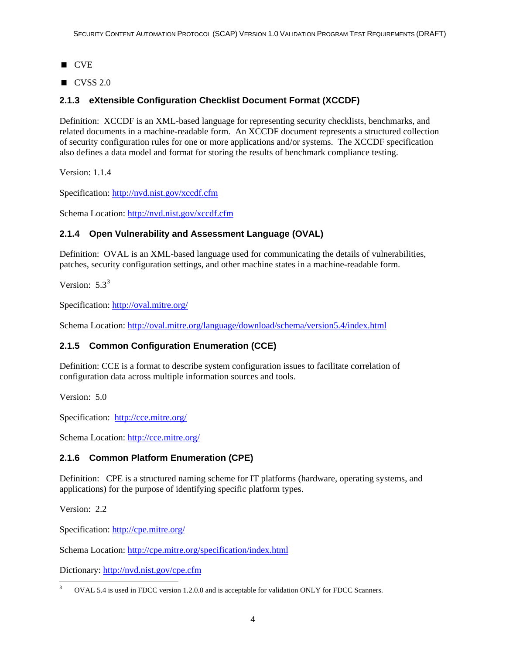- <span id="page-10-0"></span>**CVE**
- $\blacksquare$  CVSS 2.0

#### **2.1.3 eXtensible Configuration Checklist Document Format (XCCDF)**

Definition: XCCDF is an XML-based language for representing security checklists, benchmarks, and related documents in a machine-readable form. An XCCDF document represents a structured collection of security configuration rules for one or more applications and/or systems. The XCCDF specification also defines a data model and format for storing the results of benchmark compliance testing.

Version: 1.1.4

Specification: <http://nvd.nist.gov/xccdf.cfm>

Schema Location:<http://nvd.nist.gov/xccdf.cfm>

#### **2.1.4 Open Vulnerability and Assessment Language (OVAL)**

Definition: OVAL is an XML-based language used for communicating the details of vulnerabilities, patches, security configuration settings, and other machine states in a machine-readable form.

Version:  $5.3^3$  $5.3^3$  $5.3^3$ 

Specification: <http://oval.mitre.org/>

Schema Location:<http://oval.mitre.org/language/download/schema/version5.4/index.html>

#### **2.1.5 Common Configuration Enumeration (CCE)**

Definition: CCE is a format to describe system configuration issues to facilitate correlation of configuration data across multiple information sources and tools.

Version: 5.0

Specification: <http://cce.mitre.org/>

Schema Location:<http://cce.mitre.org/>

#### **2.1.6 Common Platform Enumeration (CPE)**

Definition: CPE is a structured naming scheme for IT platforms (hardware, operating systems, and applications) for the purpose of identifying specific platform types.

Version: 2.2

Specification: <http://cpe.mitre.org/>

Schema Location:<http://cpe.mitre.org/specification/index.html>

Dictionary: <http://nvd.nist.gov/cpe.cfm>

<span id="page-10-1"></span><sup>1</sup> 3 OVAL 5.4 is used in FDCC version 1.2.0.0 and is acceptable for validation ONLY for FDCC Scanners.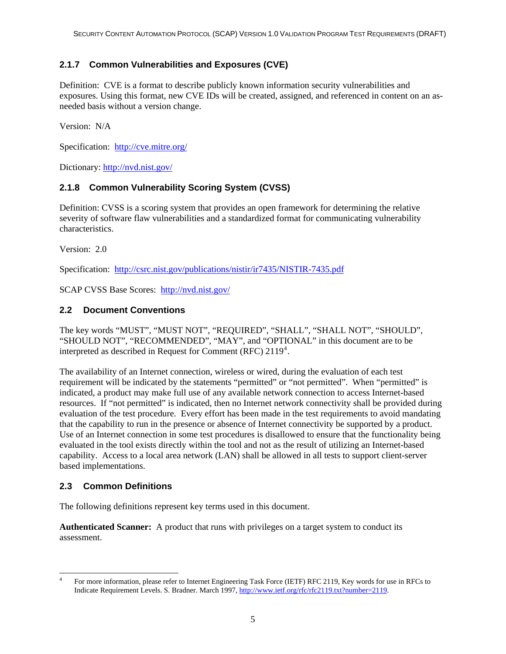#### <span id="page-11-0"></span>**2.1.7 Common Vulnerabilities and Exposures (CVE)**

Definition: CVE is a format to describe publicly known information security vulnerabilities and exposures. Using this format, new CVE IDs will be created, assigned, and referenced in content on an asneeded basis without a version change.

Version: N/A

Specification: <http://cve.mitre.org/>

Dictionary: <http://nvd.nist.gov/>

#### **2.1.8 Common Vulnerability Scoring System (CVSS)**

Definition: CVSS is a scoring system that provides an open framework for determining the relative severity of software flaw vulnerabilities and a standardized format for communicating vulnerability characteristics.

Version: 2.0

Specification: <http://csrc.nist.gov/publications/nistir/ir7435/NISTIR-7435.pdf>

SCAP CVSS Base Scores: <http://nvd.nist.gov/>

#### **2.2 Document Conventions**

The key words "MUST", "MUST NOT", "REQUIRED", "SHALL", "SHALL NOT", "SHOULD", "SHOULD NOT", "RECOMMENDED", "MAY", and "OPTIONAL" in this document are to be interpreted as described in Request for Comment (RFC)  $2119<sup>4</sup>$  $2119<sup>4</sup>$  $2119<sup>4</sup>$ .

The availability of an Internet connection, wireless or wired, during the evaluation of each test requirement will be indicated by the statements "permitted" or "not permitted". When "permitted" is indicated, a product may make full use of any available network connection to access Internet-based resources. If "not permitted" is indicated, then no Internet network connectivity shall be provided during evaluation of the test procedure. Every effort has been made in the test requirements to avoid mandating that the capability to run in the presence or absence of Internet connectivity be supported by a product. Use of an Internet connection in some test procedures is disallowed to ensure that the functionality being evaluated in the tool exists directly within the tool and not as the result of utilizing an Internet-based capability. Access to a local area network (LAN) shall be allowed in all tests to support client-server based implementations.

#### **2.3 Common Definitions**

The following definitions represent key terms used in this document.

**Authenticated Scanner:** A product that runs with privileges on a target system to conduct its assessment.

<span id="page-11-1"></span>l 4 For more information, please refer to Internet Engineering Task Force (IETF) RFC 2119, Key words for use in RFCs to Indicate Requirement Levels. S. Bradner. March 1997, [http://www.ietf.org/rfc/rfc2119.txt?number=2119.](http://www.ietf.org/rfc/rfc2119.txt?number=2119)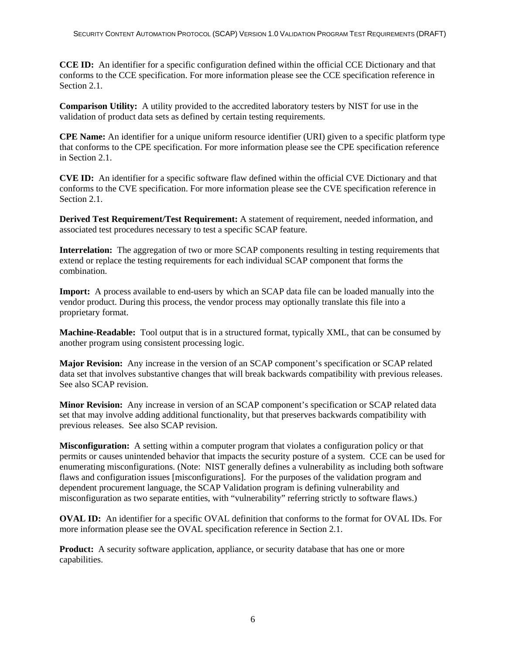**CCE ID:** An identifier for a specific configuration defined within the official CCE Dictionary and that conforms to the CCE specification. For more information please see the CCE specification reference in Section 2.1.

**Comparison Utility:** A utility provided to the accredited laboratory testers by NIST for use in the validation of product data sets as defined by certain testing requirements.

**CPE Name:** An identifier for a unique uniform resource identifier (URI) given to a specific platform type that conforms to the CPE specification. For more information please see the CPE specification reference in Section 2.1.

**CVE ID:** An identifier for a specific software flaw defined within the official CVE Dictionary and that conforms to the CVE specification. For more information please see the CVE specification reference in Section 2.1.

**Derived Test Requirement/Test Requirement:** A statement of requirement, needed information, and associated test procedures necessary to test a specific SCAP feature.

**Interrelation:** The aggregation of two or more SCAP components resulting in testing requirements that extend or replace the testing requirements for each individual SCAP component that forms the combination.

**Import:** A process available to end-users by which an SCAP data file can be loaded manually into the vendor product. During this process, the vendor process may optionally translate this file into a proprietary format.

**Machine-Readable:** Tool output that is in a structured format, typically XML, that can be consumed by another program using consistent processing logic.

**Major Revision:** Any increase in the version of an SCAP component's specification or SCAP related data set that involves substantive changes that will break backwards compatibility with previous releases. See also SCAP revision.

**Minor Revision:** Any increase in version of an SCAP component's specification or SCAP related data set that may involve adding additional functionality, but that preserves backwards compatibility with previous releases. See also SCAP revision.

**Misconfiguration:** A setting within a computer program that violates a configuration policy or that permits or causes unintended behavior that impacts the security posture of a system. CCE can be used for enumerating misconfigurations. (Note: NIST generally defines a vulnerability as including both software flaws and configuration issues [misconfigurations]. For the purposes of the validation program and dependent procurement language, the SCAP Validation program is defining vulnerability and misconfiguration as two separate entities, with "vulnerability" referring strictly to software flaws.)

**OVAL ID:** An identifier for a specific OVAL definition that conforms to the format for OVAL IDs. For more information please see the OVAL specification reference in Section 2.1.

**Product:** A security software application, appliance, or security database that has one or more capabilities.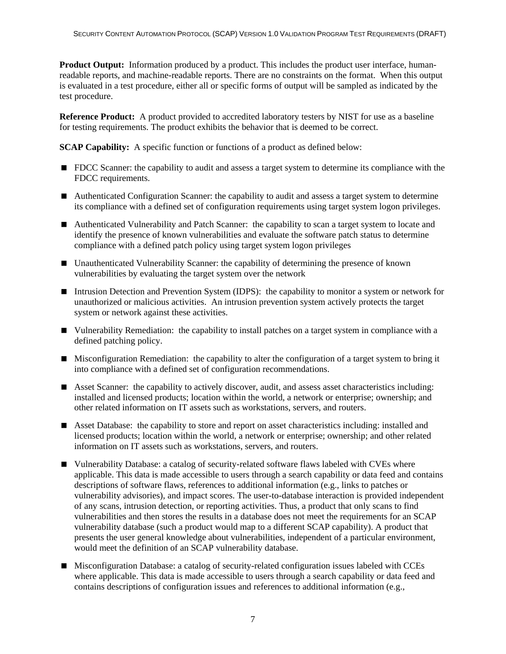**Product Output:** Information produced by a product. This includes the product user interface, humanreadable reports, and machine-readable reports. There are no constraints on the format. When this output is evaluated in a test procedure, either all or specific forms of output will be sampled as indicated by the test procedure.

**Reference Product:** A product provided to accredited laboratory testers by NIST for use as a baseline for testing requirements. The product exhibits the behavior that is deemed to be correct.

**SCAP Capability:** A specific function or functions of a product as defined below:

- **FDCC** Scanner: the capability to audit and assess a target system to determine its compliance with the FDCC requirements.
- Authenticated Configuration Scanner: the capability to audit and assess a target system to determine its compliance with a defined set of configuration requirements using target system logon privileges.
- Authenticated Vulnerability and Patch Scanner: the capability to scan a target system to locate and identify the presence of known vulnerabilities and evaluate the software patch status to determine compliance with a defined patch policy using target system logon privileges
- Unauthenticated Vulnerability Scanner: the capability of determining the presence of known vulnerabilities by evaluating the target system over the network
- Intrusion Detection and Prevention System (IDPS): the capability to monitor a system or network for unauthorized or malicious activities. An intrusion prevention system actively protects the target system or network against these activities.
- Vulnerability Remediation: the capability to install patches on a target system in compliance with a defined patching policy.
- Misconfiguration Remediation: the capability to alter the configuration of a target system to bring it into compliance with a defined set of configuration recommendations.
- Asset Scanner: the capability to actively discover, audit, and assess asset characteristics including: installed and licensed products; location within the world, a network or enterprise; ownership; and other related information on IT assets such as workstations, servers, and routers.
- Asset Database: the capability to store and report on asset characteristics including: installed and licensed products; location within the world, a network or enterprise; ownership; and other related information on IT assets such as workstations, servers, and routers.
- Vulnerability Database: a catalog of security-related software flaws labeled with CVEs where applicable. This data is made accessible to users through a search capability or data feed and contains descriptions of software flaws, references to additional information (e.g., links to patches or vulnerability advisories), and impact scores. The user-to-database interaction is provided independent of any scans, intrusion detection, or reporting activities. Thus, a product that only scans to find vulnerabilities and then stores the results in a database does not meet the requirements for an SCAP vulnerability database (such a product would map to a different SCAP capability). A product that presents the user general knowledge about vulnerabilities, independent of a particular environment, would meet the definition of an SCAP vulnerability database.
- Misconfiguration Database: a catalog of security-related configuration issues labeled with CCEs where applicable. This data is made accessible to users through a search capability or data feed and contains descriptions of configuration issues and references to additional information (e.g.,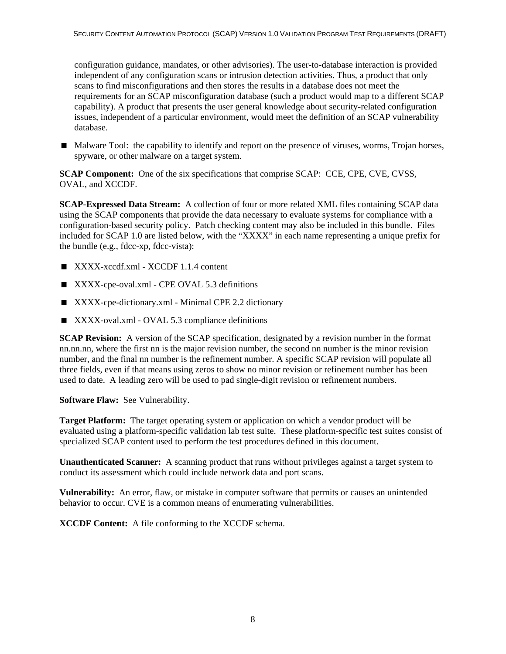configuration guidance, mandates, or other advisories). The user-to-database interaction is provided independent of any configuration scans or intrusion detection activities. Thus, a product that only scans to find misconfigurations and then stores the results in a database does not meet the requirements for an SCAP misconfiguration database (such a product would map to a different SCAP capability). A product that presents the user general knowledge about security-related configuration issues, independent of a particular environment, would meet the definition of an SCAP vulnerability database.

 Malware Tool: the capability to identify and report on the presence of viruses, worms, Trojan horses, spyware, or other malware on a target system.

**SCAP Component:** One of the six specifications that comprise SCAP: CCE, CPE, CVE, CVSS, OVAL, and XCCDF.

**SCAP-Expressed Data Stream:** A collection of four or more related XML files containing SCAP data using the SCAP components that provide the data necessary to evaluate systems for compliance with a configuration-based security policy. Patch checking content may also be included in this bundle. Files included for SCAP 1.0 are listed below, with the "XXXX" in each name representing a unique prefix for the bundle  $(e.g., f<sub>d</sub>cc-xp, f<sub>d</sub>cc-v<sub>i</sub>sta):$ 

- $\blacksquare$  XXXX-xccdf.xml XCCDF 1.1.4 content
- XXXX-cpe-oval.xml CPE OVAL 5.3 definitions
- XXXX-cpe-dictionary.xml Minimal CPE 2.2 dictionary
- XXXX-oval.xml OVAL 5.3 compliance definitions

**SCAP Revision:** A version of the SCAP specification, designated by a revision number in the format nn.nn.nn, where the first nn is the major revision number, the second nn number is the minor revision number, and the final nn number is the refinement number. A specific SCAP revision will populate all three fields, even if that means using zeros to show no minor revision or refinement number has been used to date. A leading zero will be used to pad single-digit revision or refinement numbers.

#### **Software Flaw:** See Vulnerability.

**Target Platform:** The target operating system or application on which a vendor product will be evaluated using a platform-specific validation lab test suite. These platform-specific test suites consist of specialized SCAP content used to perform the test procedures defined in this document.

**Unauthenticated Scanner:** A scanning product that runs without privileges against a target system to conduct its assessment which could include network data and port scans.

**Vulnerability:** An error, flaw, or mistake in computer software that permits or causes an unintended behavior to occur. CVE is a common means of enumerating vulnerabilities.

**XCCDF Content:** A file conforming to the XCCDF schema.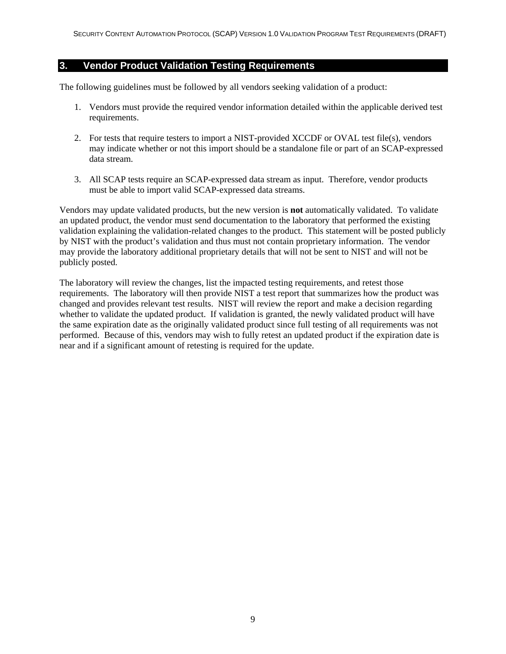#### <span id="page-15-0"></span>**3. Vendor Product Validation Testing Requirements**

The following guidelines must be followed by all vendors seeking validation of a product:

- 1. Vendors must provide the required vendor information detailed within the applicable derived test requirements.
- 2. For tests that require testers to import a NIST-provided XCCDF or OVAL test file(s), vendors may indicate whether or not this import should be a standalone file or part of an SCAP-expressed data stream.
- 3. All SCAP tests require an SCAP-expressed data stream as input. Therefore, vendor products must be able to import valid SCAP-expressed data streams.

Vendors may update validated products, but the new version is **not** automatically validated. To validate an updated product, the vendor must send documentation to the laboratory that performed the existing validation explaining the validation-related changes to the product. This statement will be posted publicly by NIST with the product's validation and thus must not contain proprietary information. The vendor may provide the laboratory additional proprietary details that will not be sent to NIST and will not be publicly posted.

The laboratory will review the changes, list the impacted testing requirements, and retest those requirements. The laboratory will then provide NIST a test report that summarizes how the product was changed and provides relevant test results. NIST will review the report and make a decision regarding whether to validate the updated product. If validation is granted, the newly validated product will have the same expiration date as the originally validated product since full testing of all requirements was not performed. Because of this, vendors may wish to fully retest an updated product if the expiration date is near and if a significant amount of retesting is required for the update.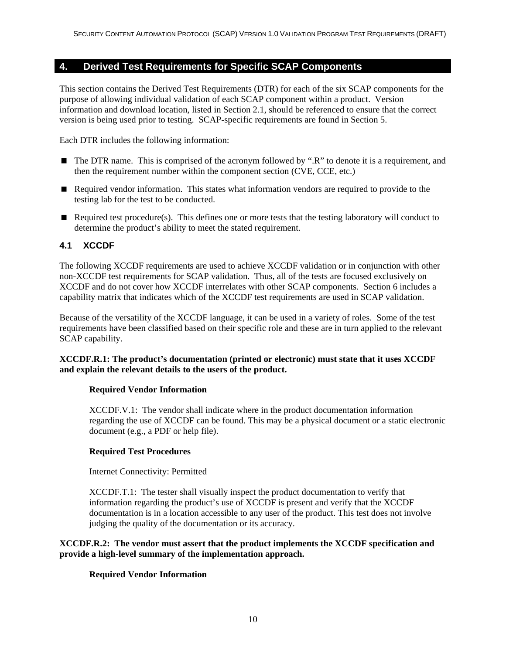#### <span id="page-16-0"></span>**4. Derived Test Requirements for Specific SCAP Components**

This section contains the Derived Test Requirements (DTR) for each of the six SCAP components for the purpose of allowing individual validation of each SCAP component within a product. Version information and download location, listed in Section 2.1, should be referenced to ensure that the correct version is being used prior to testing. SCAP-specific requirements are found in Section 5.

Each DTR includes the following information:

- The DTR name. This is comprised of the acronym followed by ".R" to denote it is a requirement, and then the requirement number within the component section (CVE, CCE, etc.)
- Required vendor information. This states what information vendors are required to provide to the testing lab for the test to be conducted.
- Required test procedure(s). This defines one or more tests that the testing laboratory will conduct to determine the product's ability to meet the stated requirement.

#### **4.1 XCCDF**

The following XCCDF requirements are used to achieve XCCDF validation or in conjunction with other non-XCCDF test requirements for SCAP validation. Thus, all of the tests are focused exclusively on XCCDF and do not cover how XCCDF interrelates with other SCAP components. Section 6 includes a capability matrix that indicates which of the XCCDF test requirements are used in SCAP validation.

Because of the versatility of the XCCDF language, it can be used in a variety of roles. Some of the test requirements have been classified based on their specific role and these are in turn applied to the relevant SCAP capability.

#### **XCCDF.R.1: The product's documentation (printed or electronic) must state that it uses XCCDF and explain the relevant details to the users of the product.**

#### **Required Vendor Information**

XCCDF.V.1: The vendor shall indicate where in the product documentation information regarding the use of XCCDF can be found. This may be a physical document or a static electronic document (e.g., a PDF or help file).

#### **Required Test Procedures**

Internet Connectivity: Permitted

XCCDF.T.1: The tester shall visually inspect the product documentation to verify that information regarding the product's use of XCCDF is present and verify that the XCCDF documentation is in a location accessible to any user of the product. This test does not involve judging the quality of the documentation or its accuracy.

#### **XCCDF.R.2: The vendor must assert that the product implements the XCCDF specification and provide a high-level summary of the implementation approach.**

#### **Required Vendor Information**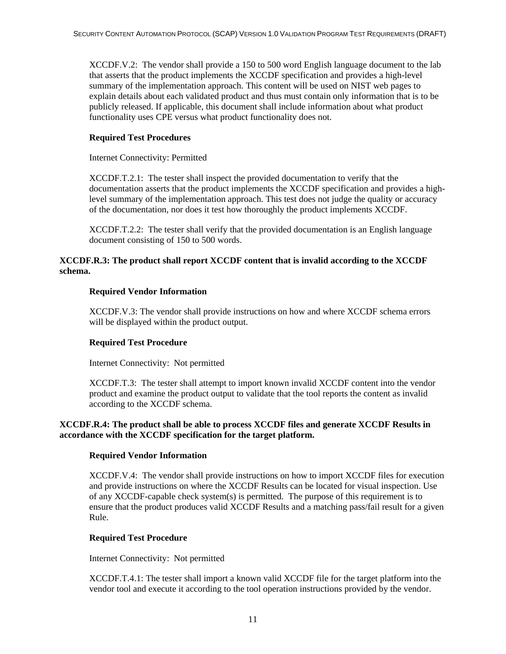XCCDF.V.2: The vendor shall provide a 150 to 500 word English language document to the lab that asserts that the product implements the XCCDF specification and provides a high-level summary of the implementation approach. This content will be used on NIST web pages to explain details about each validated product and thus must contain only information that is to be publicly released. If applicable, this document shall include information about what product functionality uses CPE versus what product functionality does not.

#### **Required Test Procedures**

Internet Connectivity: Permitted

XCCDF.T.2.1: The tester shall inspect the provided documentation to verify that the documentation asserts that the product implements the XCCDF specification and provides a highlevel summary of the implementation approach. This test does not judge the quality or accuracy of the documentation, nor does it test how thoroughly the product implements XCCDF.

XCCDF.T.2.2: The tester shall verify that the provided documentation is an English language document consisting of 150 to 500 words.

#### **XCCDF.R.3: The product shall report XCCDF content that is invalid according to the XCCDF schema.**

#### **Required Vendor Information**

XCCDF.V.3: The vendor shall provide instructions on how and where XCCDF schema errors will be displayed within the product output.

#### **Required Test Procedure**

Internet Connectivity: Not permitted

XCCDF.T.3: The tester shall attempt to import known invalid XCCDF content into the vendor product and examine the product output to validate that the tool reports the content as invalid according to the XCCDF schema.

#### **XCCDF.R.4: The product shall be able to process XCCDF files and generate XCCDF Results in accordance with the XCCDF specification for the target platform.**

#### **Required Vendor Information**

XCCDF.V.4: The vendor shall provide instructions on how to import XCCDF files for execution and provide instructions on where the XCCDF Results can be located for visual inspection. Use of any XCCDF-capable check system(s) is permitted. The purpose of this requirement is to ensure that the product produces valid XCCDF Results and a matching pass/fail result for a given Rule.

#### **Required Test Procedure**

Internet Connectivity: Not permitted

XCCDF.T.4.1: The tester shall import a known valid XCCDF file for the target platform into the vendor tool and execute it according to the tool operation instructions provided by the vendor.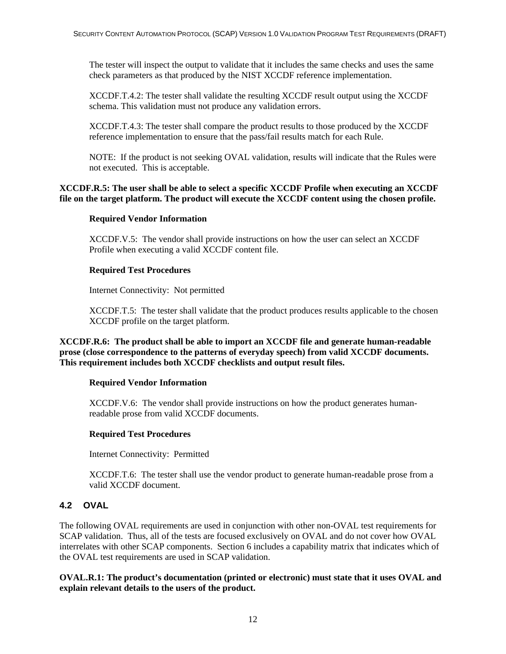<span id="page-18-0"></span>The tester will inspect the output to validate that it includes the same checks and uses the same check parameters as that produced by the NIST XCCDF reference implementation.

XCCDF.T.4.2: The tester shall validate the resulting XCCDF result output using the XCCDF schema. This validation must not produce any validation errors.

XCCDF.T.4.3: The tester shall compare the product results to those produced by the XCCDF reference implementation to ensure that the pass/fail results match for each Rule.

NOTE: If the product is not seeking OVAL validation, results will indicate that the Rules were not executed. This is acceptable.

#### **XCCDF.R.5: The user shall be able to select a specific XCCDF Profile when executing an XCCDF file on the target platform. The product will execute the XCCDF content using the chosen profile.**

#### **Required Vendor Information**

XCCDF.V.5: The vendor shall provide instructions on how the user can select an XCCDF Profile when executing a valid XCCDF content file.

#### **Required Test Procedures**

Internet Connectivity: Not permitted

XCCDF.T.5: The tester shall validate that the product produces results applicable to the chosen XCCDF profile on the target platform.

**XCCDF.R.6: The product shall be able to import an XCCDF file and generate human-readable prose (close correspondence to the patterns of everyday speech) from valid XCCDF documents. This requirement includes both XCCDF checklists and output result files.** 

#### **Required Vendor Information**

XCCDF.V.6: The vendor shall provide instructions on how the product generates humanreadable prose from valid XCCDF documents.

#### **Required Test Procedures**

Internet Connectivity: Permitted

XCCDF.T.6: The tester shall use the vendor product to generate human-readable prose from a valid XCCDF document.

#### **4.2 OVAL**

The following OVAL requirements are used in conjunction with other non-OVAL test requirements for SCAP validation. Thus, all of the tests are focused exclusively on OVAL and do not cover how OVAL interrelates with other SCAP components. Section 6 includes a capability matrix that indicates which of the OVAL test requirements are used in SCAP validation.

**OVAL.R.1: The product's documentation (printed or electronic) must state that it uses OVAL and explain relevant details to the users of the product.**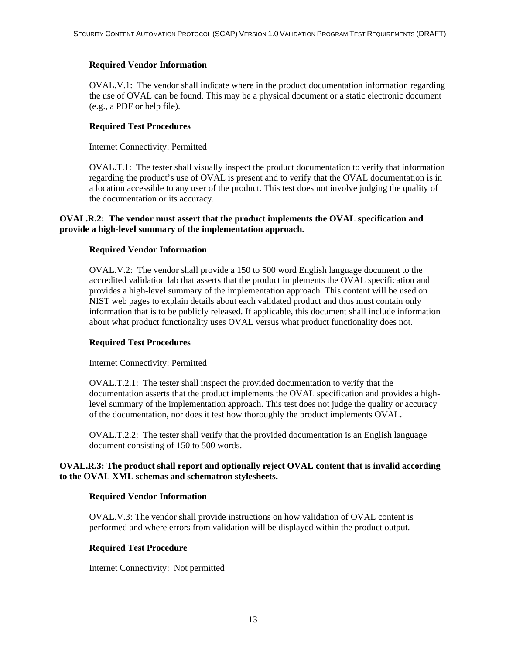#### **Required Vendor Information**

OVAL.V.1: The vendor shall indicate where in the product documentation information regarding the use of OVAL can be found. This may be a physical document or a static electronic document (e.g., a PDF or help file).

#### **Required Test Procedures**

Internet Connectivity: Permitted

OVAL.T.1: The tester shall visually inspect the product documentation to verify that information regarding the product's use of OVAL is present and to verify that the OVAL documentation is in a location accessible to any user of the product. This test does not involve judging the quality of the documentation or its accuracy.

#### **OVAL.R.2: The vendor must assert that the product implements the OVAL specification and provide a high-level summary of the implementation approach.**

#### **Required Vendor Information**

OVAL.V.2: The vendor shall provide a 150 to 500 word English language document to the accredited validation lab that asserts that the product implements the OVAL specification and provides a high-level summary of the implementation approach. This content will be used on NIST web pages to explain details about each validated product and thus must contain only information that is to be publicly released. If applicable, this document shall include information about what product functionality uses OVAL versus what product functionality does not.

#### **Required Test Procedures**

Internet Connectivity: Permitted

OVAL.T.2.1: The tester shall inspect the provided documentation to verify that the documentation asserts that the product implements the OVAL specification and provides a highlevel summary of the implementation approach. This test does not judge the quality or accuracy of the documentation, nor does it test how thoroughly the product implements OVAL.

OVAL.T.2.2: The tester shall verify that the provided documentation is an English language document consisting of 150 to 500 words.

#### **OVAL.R.3: The product shall report and optionally reject OVAL content that is invalid according to the OVAL XML schemas and schematron stylesheets.**

#### **Required Vendor Information**

OVAL.V.3: The vendor shall provide instructions on how validation of OVAL content is performed and where errors from validation will be displayed within the product output.

#### **Required Test Procedure**

Internet Connectivity: Not permitted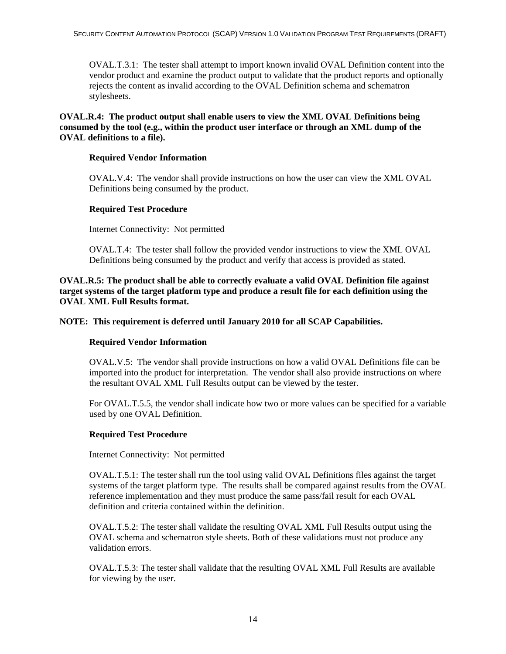OVAL.T.3.1: The tester shall attempt to import known invalid OVAL Definition content into the vendor product and examine the product output to validate that the product reports and optionally rejects the content as invalid according to the OVAL Definition schema and schematron stylesheets.

**OVAL.R.4: The product output shall enable users to view the XML OVAL Definitions being consumed by the tool (e.g., within the product user interface or through an XML dump of the OVAL definitions to a file).** 

#### **Required Vendor Information**

OVAL.V.4: The vendor shall provide instructions on how the user can view the XML OVAL Definitions being consumed by the product.

#### **Required Test Procedure**

Internet Connectivity: Not permitted

OVAL.T.4: The tester shall follow the provided vendor instructions to view the XML OVAL Definitions being consumed by the product and verify that access is provided as stated.

**OVAL.R.5: The product shall be able to correctly evaluate a valid OVAL Definition file against target systems of the target platform type and produce a result file for each definition using the OVAL XML Full Results format.** 

#### **NOTE: This requirement is deferred until January 2010 for all SCAP Capabilities.**

#### **Required Vendor Information**

OVAL.V.5: The vendor shall provide instructions on how a valid OVAL Definitions file can be imported into the product for interpretation. The vendor shall also provide instructions on where the resultant OVAL XML Full Results output can be viewed by the tester.

For OVAL.T.5.5, the vendor shall indicate how two or more values can be specified for a variable used by one OVAL Definition.

#### **Required Test Procedure**

Internet Connectivity: Not permitted

OVAL.T.5.1: The tester shall run the tool using valid OVAL Definitions files against the target systems of the target platform type. The results shall be compared against results from the OVAL reference implementation and they must produce the same pass/fail result for each OVAL definition and criteria contained within the definition.

OVAL.T.5.2: The tester shall validate the resulting OVAL XML Full Results output using the OVAL schema and schematron style sheets. Both of these validations must not produce any validation errors.

OVAL.T.5.3: The tester shall validate that the resulting OVAL XML Full Results are available for viewing by the user.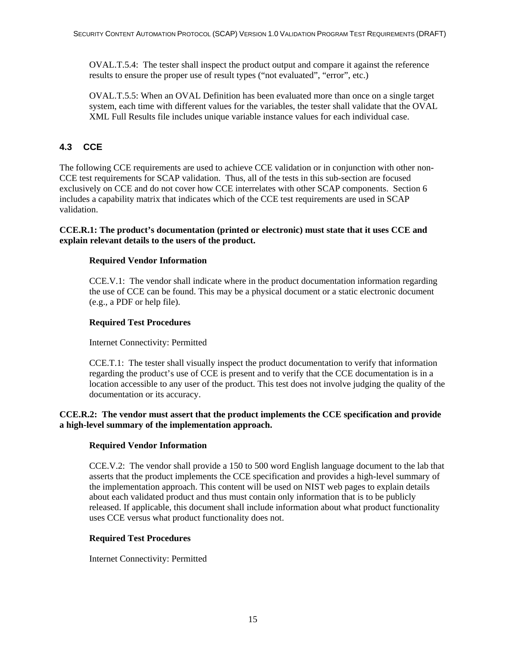<span id="page-21-0"></span>OVAL.T.5.4: The tester shall inspect the product output and compare it against the reference results to ensure the proper use of result types ("not evaluated", "error", etc.)

OVAL.T.5.5: When an OVAL Definition has been evaluated more than once on a single target system, each time with different values for the variables, the tester shall validate that the OVAL XML Full Results file includes unique variable instance values for each individual case.

#### **4.3 CCE**

The following CCE requirements are used to achieve CCE validation or in conjunction with other non-CCE test requirements for SCAP validation. Thus, all of the tests in this sub-section are focused exclusively on CCE and do not cover how CCE interrelates with other SCAP components. Section 6 includes a capability matrix that indicates which of the CCE test requirements are used in SCAP validation.

#### **CCE.R.1: The product's documentation (printed or electronic) must state that it uses CCE and explain relevant details to the users of the product.**

#### **Required Vendor Information**

CCE.V.1: The vendor shall indicate where in the product documentation information regarding the use of CCE can be found. This may be a physical document or a static electronic document (e.g., a PDF or help file).

#### **Required Test Procedures**

Internet Connectivity: Permitted

CCE.T.1: The tester shall visually inspect the product documentation to verify that information regarding the product's use of CCE is present and to verify that the CCE documentation is in a location accessible to any user of the product. This test does not involve judging the quality of the documentation or its accuracy.

#### **CCE.R.2: The vendor must assert that the product implements the CCE specification and provide a high-level summary of the implementation approach.**

#### **Required Vendor Information**

CCE.V.2: The vendor shall provide a 150 to 500 word English language document to the lab that asserts that the product implements the CCE specification and provides a high-level summary of the implementation approach. This content will be used on NIST web pages to explain details about each validated product and thus must contain only information that is to be publicly released. If applicable, this document shall include information about what product functionality uses CCE versus what product functionality does not.

#### **Required Test Procedures**

Internet Connectivity: Permitted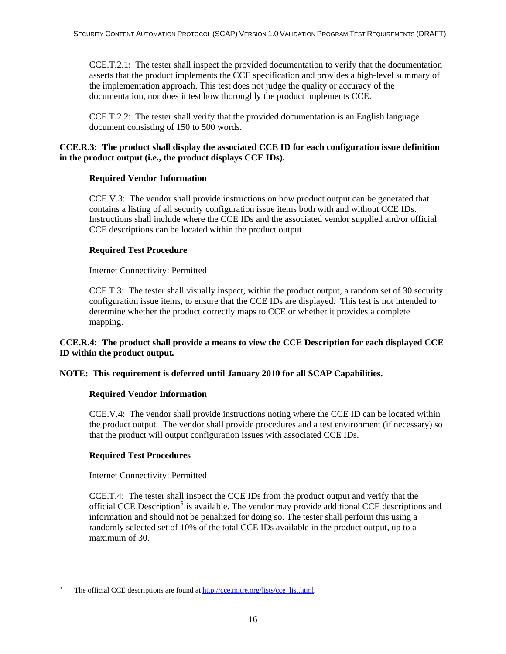CCE.T.2.1: The tester shall inspect the provided documentation to verify that the documentation asserts that the product implements the CCE specification and provides a high-level summary of the implementation approach. This test does not judge the quality or accuracy of the documentation, nor does it test how thoroughly the product implements CCE.

CCE.T.2.2: The tester shall verify that the provided documentation is an English language document consisting of 150 to 500 words.

#### **CCE.R.3: The product shall display the associated CCE ID for each configuration issue definition in the product output (i.e., the product displays CCE IDs).**

#### **Required Vendor Information**

CCE.V.3: The vendor shall provide instructions on how product output can be generated that contains a listing of all security configuration issue items both with and without CCE IDs. Instructions shall include where the CCE IDs and the associated vendor supplied and/or official CCE descriptions can be located within the product output.

#### **Required Test Procedure**

Internet Connectivity: Permitted

CCE.T.3: The tester shall visually inspect, within the product output, a random set of 30 security configuration issue items, to ensure that the CCE IDs are displayed. This test is not intended to determine whether the product correctly maps to CCE or whether it provides a complete mapping.

#### **CCE.R.4: The product shall provide a means to view the CCE Description for each displayed CCE ID within the product output***.*

#### **NOTE: This requirement is deferred until January 2010 for all SCAP Capabilities.**

#### **Required Vendor Information**

CCE.V.4: The vendor shall provide instructions noting where the CCE ID can be located within the product output. The vendor shall provide procedures and a test environment (if necessary) so that the product will output configuration issues with associated CCE IDs.

#### **Required Test Procedures**

Internet Connectivity: Permitted

CCE.T.4: The tester shall inspect the CCE IDs from the product output and verify that the official CCE Description<sup>[5](#page-22-0)</sup> is available. The vendor may provide additional CCE descriptions and information and should not be penalized for doing so. The tester shall perform this using a randomly selected set of 10% of the total CCE IDs available in the product output, up to a maximum of 30.

<span id="page-22-0"></span><sup>1</sup> 5 The official CCE descriptions are found at [http://cce.mitre.org/lists/cce\\_list.html.](http://cce.mitre.org/lists/cce_list.html)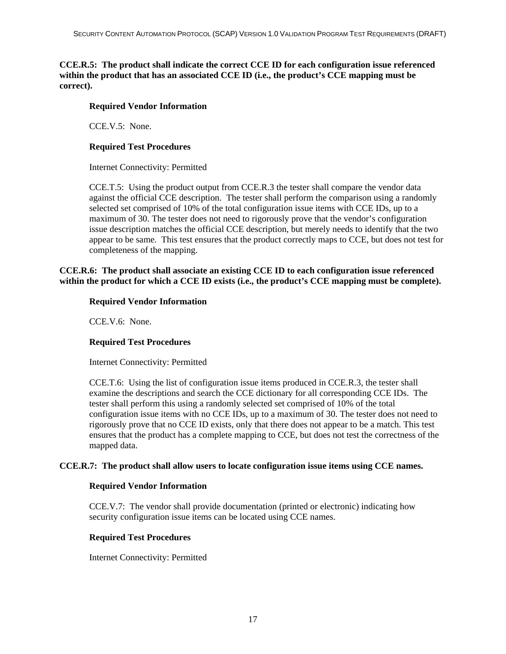#### **CCE.R.5: The product shall indicate the correct CCE ID for each configuration issue referenced within the product that has an associated CCE ID (i.e., the product's CCE mapping must be correct).**

#### **Required Vendor Information**

CCE.V.5: None.

#### **Required Test Procedures**

Internet Connectivity: Permitted

CCE.T.5: Using the product output from CCE.R.3 the tester shall compare the vendor data against the official CCE description. The tester shall perform the comparison using a randomly selected set comprised of 10% of the total configuration issue items with CCE IDs, up to a maximum of 30. The tester does not need to rigorously prove that the vendor's configuration issue description matches the official CCE description, but merely needs to identify that the two appear to be same. This test ensures that the product correctly maps to CCE, but does not test for completeness of the mapping.

#### **CCE.R.6: The product shall associate an existing CCE ID to each configuration issue referenced within the product for which a CCE ID exists (i.e., the product's CCE mapping must be complete).**

#### **Required Vendor Information**

CCE.V.6: None.

#### **Required Test Procedures**

Internet Connectivity: Permitted

CCE.T.6: Using the list of configuration issue items produced in CCE.R.3, the tester shall examine the descriptions and search the CCE dictionary for all corresponding CCE IDs. The tester shall perform this using a randomly selected set comprised of 10% of the total configuration issue items with no CCE IDs, up to a maximum of 30. The tester does not need to rigorously prove that no CCE ID exists, only that there does not appear to be a match. This test ensures that the product has a complete mapping to CCE, but does not test the correctness of the mapped data.

#### **CCE.R.7: The product shall allow users to locate configuration issue items using CCE names.**

#### **Required Vendor Information**

CCE.V.7: The vendor shall provide documentation (printed or electronic) indicating how security configuration issue items can be located using CCE names.

#### **Required Test Procedures**

Internet Connectivity: Permitted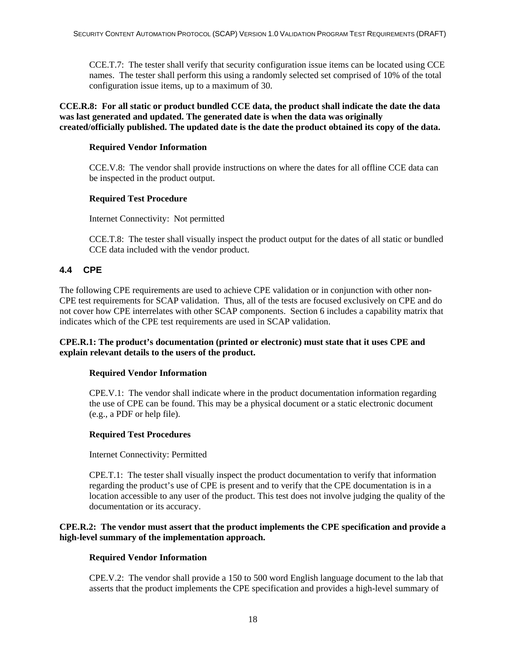<span id="page-24-0"></span>CCE.T.7: The tester shall verify that security configuration issue items can be located using CCE names. The tester shall perform this using a randomly selected set comprised of 10% of the total configuration issue items, up to a maximum of 30.

**CCE.R.8: For all static or product bundled CCE data, the product shall indicate the date the data was last generated and updated. The generated date is when the data was originally created/officially published. The updated date is the date the product obtained its copy of the data.** 

#### **Required Vendor Information**

CCE.V.8: The vendor shall provide instructions on where the dates for all offline CCE data can be inspected in the product output.

#### **Required Test Procedure**

Internet Connectivity: Not permitted

CCE.T.8: The tester shall visually inspect the product output for the dates of all static or bundled CCE data included with the vendor product.

#### **4.4 CPE**

The following CPE requirements are used to achieve CPE validation or in conjunction with other non-CPE test requirements for SCAP validation. Thus, all of the tests are focused exclusively on CPE and do not cover how CPE interrelates with other SCAP components. Section 6 includes a capability matrix that indicates which of the CPE test requirements are used in SCAP validation.

#### **CPE.R.1: The product's documentation (printed or electronic) must state that it uses CPE and explain relevant details to the users of the product.**

#### **Required Vendor Information**

CPE.V.1: The vendor shall indicate where in the product documentation information regarding the use of CPE can be found. This may be a physical document or a static electronic document (e.g., a PDF or help file).

#### **Required Test Procedures**

Internet Connectivity: Permitted

CPE.T.1: The tester shall visually inspect the product documentation to verify that information regarding the product's use of CPE is present and to verify that the CPE documentation is in a location accessible to any user of the product. This test does not involve judging the quality of the documentation or its accuracy.

#### **CPE.R.2: The vendor must assert that the product implements the CPE specification and provide a high-level summary of the implementation approach.**

#### **Required Vendor Information**

CPE.V.2: The vendor shall provide a 150 to 500 word English language document to the lab that asserts that the product implements the CPE specification and provides a high-level summary of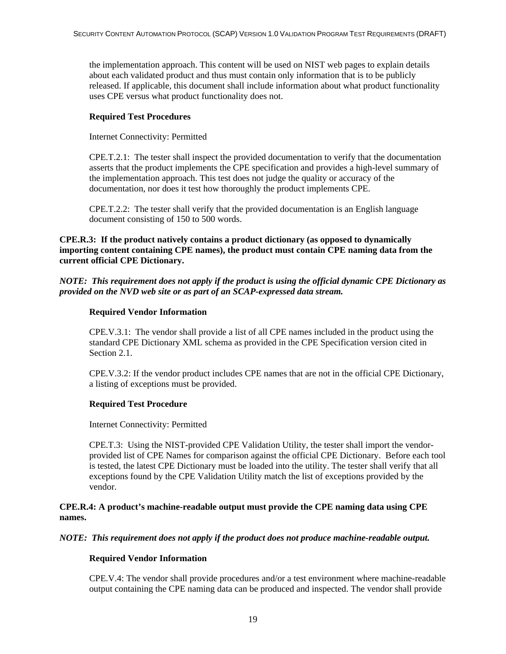the implementation approach. This content will be used on NIST web pages to explain details about each validated product and thus must contain only information that is to be publicly released. If applicable, this document shall include information about what product functionality uses CPE versus what product functionality does not.

#### **Required Test Procedures**

Internet Connectivity: Permitted

CPE.T.2.1: The tester shall inspect the provided documentation to verify that the documentation asserts that the product implements the CPE specification and provides a high-level summary of the implementation approach. This test does not judge the quality or accuracy of the documentation, nor does it test how thoroughly the product implements CPE.

CPE.T.2.2: The tester shall verify that the provided documentation is an English language document consisting of 150 to 500 words.

**CPE.R.3: If the product natively contains a product dictionary (as opposed to dynamically importing content containing CPE names), the product must contain CPE naming data from the current official CPE Dictionary.** 

*NOTE: This requirement does not apply if the product is using the official dynamic CPE Dictionary as provided on the NVD web site or as part of an SCAP-expressed data stream.* 

#### **Required Vendor Information**

CPE.V.3.1: The vendor shall provide a list of all CPE names included in the product using the standard CPE Dictionary XML schema as provided in the CPE Specification version cited in Section 2.1.

CPE.V.3.2: If the vendor product includes CPE names that are not in the official CPE Dictionary, a listing of exceptions must be provided.

#### **Required Test Procedure**

Internet Connectivity: Permitted

CPE.T.3: Using the NIST-provided CPE Validation Utility, the tester shall import the vendorprovided list of CPE Names for comparison against the official CPE Dictionary. Before each tool is tested, the latest CPE Dictionary must be loaded into the utility. The tester shall verify that all exceptions found by the CPE Validation Utility match the list of exceptions provided by the vendor.

**CPE.R.4: A product's machine-readable output must provide the CPE naming data using CPE names.** 

#### *NOTE: This requirement does not apply if the product does not produce machine-readable output.*

#### **Required Vendor Information**

CPE.V.4: The vendor shall provide procedures and/or a test environment where machine-readable output containing the CPE naming data can be produced and inspected. The vendor shall provide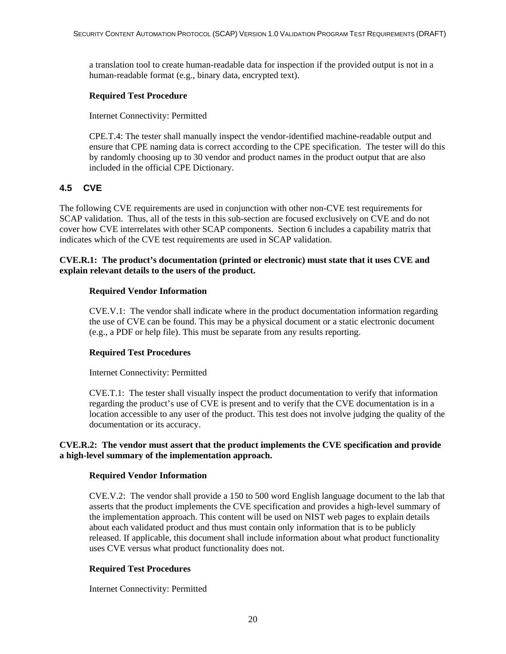<span id="page-26-0"></span>a translation tool to create human-readable data for inspection if the provided output is not in a human-readable format (e.g., binary data, encrypted text).

#### **Required Test Procedure**

Internet Connectivity: Permitted

CPE.T.4: The tester shall manually inspect the vendor-identified machine-readable output and ensure that CPE naming data is correct according to the CPE specification. The tester will do this by randomly choosing up to 30 vendor and product names in the product output that are also included in the official CPE Dictionary.

#### **4.5 CVE**

The following CVE requirements are used in conjunction with other non-CVE test requirements for SCAP validation. Thus, all of the tests in this sub-section are focused exclusively on CVE and do not cover how CVE interrelates with other SCAP components. Section 6 includes a capability matrix that indicates which of the CVE test requirements are used in SCAP validation.

#### **CVE.R.1: The product's documentation (printed or electronic) must state that it uses CVE and explain relevant details to the users of the product.**

#### **Required Vendor Information**

CVE.V.1: The vendor shall indicate where in the product documentation information regarding the use of CVE can be found. This may be a physical document or a static electronic document (e.g., a PDF or help file). This must be separate from any results reporting.

#### **Required Test Procedures**

Internet Connectivity: Permitted

CVE.T.1: The tester shall visually inspect the product documentation to verify that information regarding the product's use of CVE is present and to verify that the CVE documentation is in a location accessible to any user of the product. This test does not involve judging the quality of the documentation or its accuracy.

#### **CVE.R.2: The vendor must assert that the product implements the CVE specification and provide a high-level summary of the implementation approach.**

#### **Required Vendor Information**

CVE.V.2: The vendor shall provide a 150 to 500 word English language document to the lab that asserts that the product implements the CVE specification and provides a high-level summary of the implementation approach. This content will be used on NIST web pages to explain details about each validated product and thus must contain only information that is to be publicly released. If applicable, this document shall include information about what product functionality uses CVE versus what product functionality does not.

#### **Required Test Procedures**

Internet Connectivity: Permitted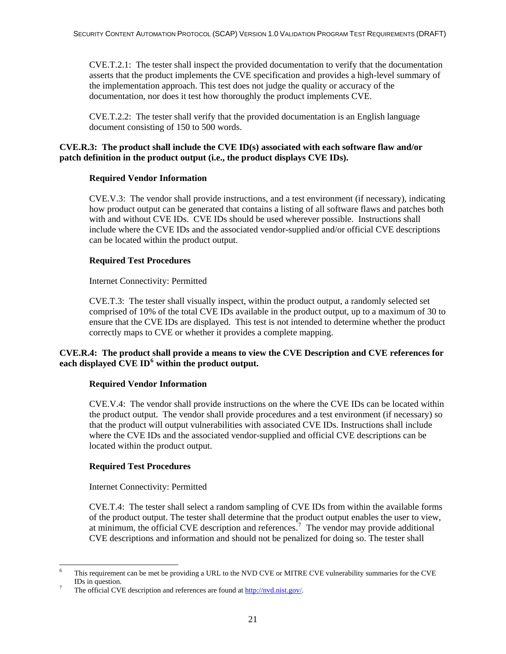CVE.T.2.1: The tester shall inspect the provided documentation to verify that the documentation asserts that the product implements the CVE specification and provides a high-level summary of the implementation approach. This test does not judge the quality or accuracy of the documentation, nor does it test how thoroughly the product implements CVE.

CVE.T.2.2: The tester shall verify that the provided documentation is an English language document consisting of 150 to 500 words.

#### **CVE.R.3: The product shall include the CVE ID(s) associated with each software flaw and/or patch definition in the product output (i.e., the product displays CVE IDs).**

#### **Required Vendor Information**

CVE.V.3: The vendor shall provide instructions, and a test environment (if necessary), indicating how product output can be generated that contains a listing of all software flaws and patches both with and without CVE IDs. CVE IDs should be used wherever possible. Instructions shall include where the CVE IDs and the associated vendor-supplied and/or official CVE descriptions can be located within the product output.

#### **Required Test Procedures**

Internet Connectivity: Permitted

CVE.T.3: The tester shall visually inspect, within the product output, a randomly selected set comprised of 10% of the total CVE IDs available in the product output, up to a maximum of 30 to ensure that the CVE IDs are displayed. This test is not intended to determine whether the product correctly maps to CVE or whether it provides a complete mapping.

#### **CVE.R.4: The product shall provide a means to view the CVE Description and CVE references for each displayed CVE ID[6](#page-27-0) within the product output.**

#### **Required Vendor Information**

CVE.V.4: The vendor shall provide instructions on the where the CVE IDs can be located within the product output. The vendor shall provide procedures and a test environment (if necessary) so that the product will output vulnerabilities with associated CVE IDs. Instructions shall include where the CVE IDs and the associated vendor-supplied and official CVE descriptions can be located within the product output.

#### **Required Test Procedures**

Internet Connectivity: Permitted

CVE.T.4: The tester shall select a random sampling of CVE IDs from within the available forms of the product output. The tester shall determine that the product output enables the user to view, at minimum, the official CVE description and references.<sup>[7](#page-27-1)</sup> The vendor may provide additional CVE descriptions and information and should not be penalized for doing so. The tester shall

<span id="page-27-0"></span><sup>-</sup>6 This requirement can be met be providing a URL to the NVD CVE or MITRE CVE vulnerability summaries for the CVE IDs in question.

<span id="page-27-1"></span>The official CVE description and references are found at <http://nvd.nist.gov/>.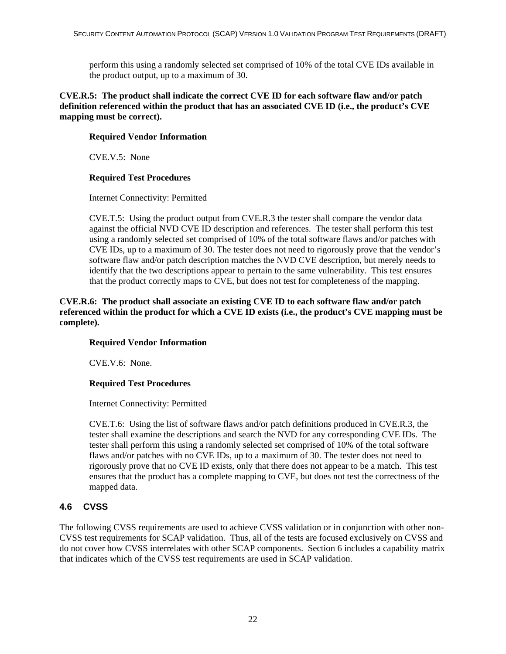<span id="page-28-0"></span>perform this using a randomly selected set comprised of 10% of the total CVE IDs available in the product output, up to a maximum of 30.

#### **CVE.R.5: The product shall indicate the correct CVE ID for each software flaw and/or patch definition referenced within the product that has an associated CVE ID (i.e., the product's CVE mapping must be correct).**

#### **Required Vendor Information**

CVE.V.5: None

#### **Required Test Procedures**

Internet Connectivity: Permitted

CVE.T.5: Using the product output from CVE.R.3 the tester shall compare the vendor data against the official NVD CVE ID description and references. The tester shall perform this test using a randomly selected set comprised of 10% of the total software flaws and/or patches with CVE IDs, up to a maximum of 30. The tester does not need to rigorously prove that the vendor's software flaw and/or patch description matches the NVD CVE description, but merely needs to identify that the two descriptions appear to pertain to the same vulnerability. This test ensures that the product correctly maps to CVE, but does not test for completeness of the mapping.

#### **CVE.R.6: The product shall associate an existing CVE ID to each software flaw and/or patch referenced within the product for which a CVE ID exists (i.e., the product's CVE mapping must be complete).**

#### **Required Vendor Information**

CVE.V.6: None.

#### **Required Test Procedures**

Internet Connectivity: Permitted

CVE.T.6: Using the list of software flaws and/or patch definitions produced in CVE.R.3, the tester shall examine the descriptions and search the NVD for any corresponding CVE IDs. The tester shall perform this using a randomly selected set comprised of 10% of the total software flaws and/or patches with no CVE IDs, up to a maximum of 30. The tester does not need to rigorously prove that no CVE ID exists, only that there does not appear to be a match. This test ensures that the product has a complete mapping to CVE, but does not test the correctness of the mapped data.

#### **4.6 CVSS**

The following CVSS requirements are used to achieve CVSS validation or in conjunction with other non-CVSS test requirements for SCAP validation. Thus, all of the tests are focused exclusively on CVSS and do not cover how CVSS interrelates with other SCAP components. Section 6 includes a capability matrix that indicates which of the CVSS test requirements are used in SCAP validation.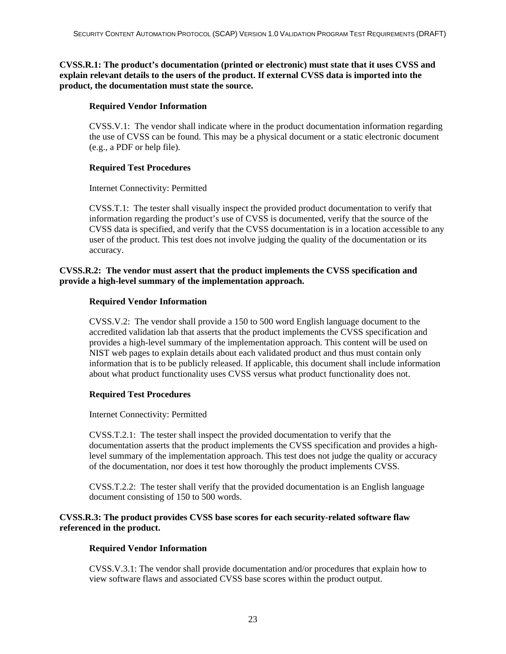**CVSS.R.1: The product's documentation (printed or electronic) must state that it uses CVSS and explain relevant details to the users of the product. If external CVSS data is imported into the product, the documentation must state the source.** 

#### **Required Vendor Information**

CVSS.V.1: The vendor shall indicate where in the product documentation information regarding the use of CVSS can be found. This may be a physical document or a static electronic document (e.g., a PDF or help file).

#### **Required Test Procedures**

Internet Connectivity: Permitted

CVSS.T.1: The tester shall visually inspect the provided product documentation to verify that information regarding the product's use of CVSS is documented, verify that the source of the CVSS data is specified, and verify that the CVSS documentation is in a location accessible to any user of the product. This test does not involve judging the quality of the documentation or its accuracy.

#### **CVSS.R.2: The vendor must assert that the product implements the CVSS specification and provide a high-level summary of the implementation approach.**

#### **Required Vendor Information**

CVSS.V.2: The vendor shall provide a 150 to 500 word English language document to the accredited validation lab that asserts that the product implements the CVSS specification and provides a high-level summary of the implementation approach. This content will be used on NIST web pages to explain details about each validated product and thus must contain only information that is to be publicly released. If applicable, this document shall include information about what product functionality uses CVSS versus what product functionality does not.

#### **Required Test Procedures**

Internet Connectivity: Permitted

CVSS.T.2.1: The tester shall inspect the provided documentation to verify that the documentation asserts that the product implements the CVSS specification and provides a highlevel summary of the implementation approach. This test does not judge the quality or accuracy of the documentation, nor does it test how thoroughly the product implements CVSS.

CVSS.T.2.2: The tester shall verify that the provided documentation is an English language document consisting of 150 to 500 words.

#### **CVSS.R.3: The product provides CVSS base scores for each security-related software flaw referenced in the product.**

#### **Required Vendor Information**

CVSS.V.3.1: The vendor shall provide documentation and/or procedures that explain how to view software flaws and associated CVSS base scores within the product output.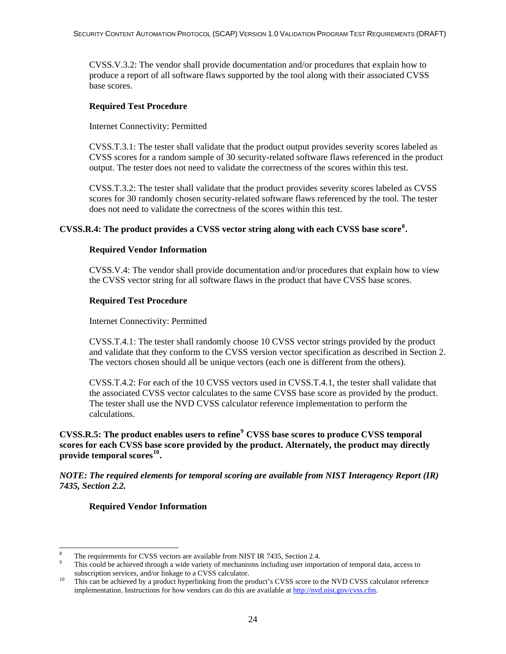CVSS.V.3.2: The vendor shall provide documentation and/or procedures that explain how to produce a report of all software flaws supported by the tool along with their associated CVSS base scores.

#### **Required Test Procedure**

Internet Connectivity: Permitted

CVSS.T.3.1: The tester shall validate that the product output provides severity scores labeled as CVSS scores for a random sample of 30 security-related software flaws referenced in the product output. The tester does not need to validate the correctness of the scores within this test.

CVSS.T.3.2: The tester shall validate that the product provides severity scores labeled as CVSS scores for 30 randomly chosen security-related software flaws referenced by the tool. The tester does not need to validate the correctness of the scores within this test.

#### **CVSS.R.4: The product provides a CVSS vector string along with each CVSS base score[8](#page-30-0) .**

#### **Required Vendor Information**

CVSS.V.4: The vendor shall provide documentation and/or procedures that explain how to view the CVSS vector string for all software flaws in the product that have CVSS base scores.

#### **Required Test Procedure**

Internet Connectivity: Permitted

CVSS.T.4.1: The tester shall randomly choose 10 CVSS vector strings provided by the product and validate that they conform to the CVSS version vector specification as described in Section 2. The vectors chosen should all be unique vectors (each one is different from the others).

CVSS.T.4.2: For each of the 10 CVSS vectors used in CVSS.T.4.1, the tester shall validate that the associated CVSS vector calculates to the same CVSS base score as provided by the product. The tester shall use the NVD CVSS calculator reference implementation to perform the calculations.

**CVSS.R.5: The product enables users to refine[9](#page-30-1) CVSS base scores to produce CVSS temporal scores for each CVSS base score provided by the product. Alternately, the product may directly provide temporal scores[10](#page-30-2).** 

*NOTE: The required elements for temporal scoring are available from NIST Interagency Report (IR) 7435, Section 2.2.* 

#### **Required Vendor Information**

-

<sup>8</sup> The requirements for CVSS vectors are available from NIST IR 7435, Section 2.4.

<span id="page-30-1"></span><span id="page-30-0"></span>This could be achieved through a wide variety of mechanisms including user importation of temporal data, access to subscription services, and/or linkage to a CVSS calculator.<br><sup>10</sup> This can be achieved by a product hyperlinking from the product's CVSS score to the NVD CVSS calculator reference

<span id="page-30-2"></span>implementation. Instructions for how vendors can do this are available at <http://nvd.nist.gov/cvss.cfm>.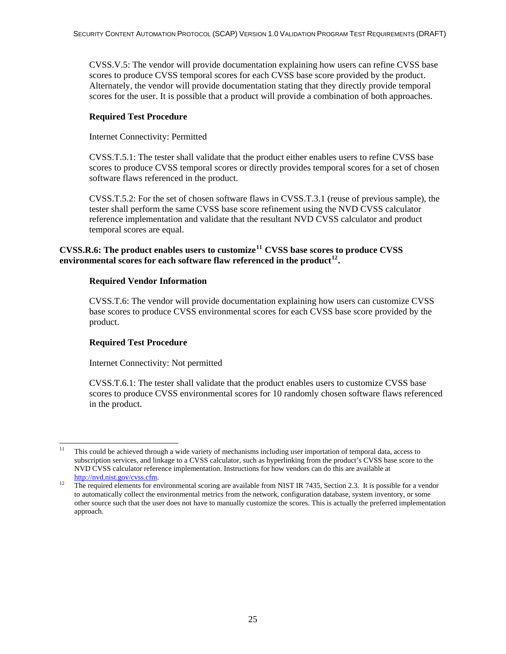CVSS.V.5: The vendor will provide documentation explaining how users can refine CVSS base scores to produce CVSS temporal scores for each CVSS base score provided by the product. Alternately, the vendor will provide documentation stating that they directly provide temporal scores for the user. It is possible that a product will provide a combination of both approaches.

#### **Required Test Procedure**

Internet Connectivity: Permitted

CVSS.T.5.1: The tester shall validate that the product either enables users to refine CVSS base scores to produce CVSS temporal scores or directly provides temporal scores for a set of chosen software flaws referenced in the product.

CVSS.T.5.2: For the set of chosen software flaws in CVSS.T.3.1 (reuse of previous sample), the tester shall perform the same CVSS base score refinement using the NVD CVSS calculator reference implementation and validate that the resultant NVD CVSS calculator and product temporal scores are equal.

#### **CVSS.R.6: The product enables users to customize[11](#page-31-0) CVSS base scores to produce CVSS environmental scores for each software flaw referenced in the product[12](#page-31-1).**

#### **Required Vendor Information**

CVSS.T.6: The vendor will provide documentation explaining how users can customize CVSS base scores to produce CVSS environmental scores for each CVSS base score provided by the product.

#### **Required Test Procedure**

Internet Connectivity: Not permitted

CVSS.T.6.1: The tester shall validate that the product enables users to customize CVSS base scores to produce CVSS environmental scores for 10 randomly chosen software flaws referenced in the product.

<span id="page-31-0"></span><sup>1</sup> 11 This could be achieved through a wide variety of mechanisms including user importation of temporal data, access to subscription services, and linkage to a CVSS calculator, such as hyperlinking from the product's CVSS base score to the NVD CVSS calculator reference implementation. Instructions for how vendors can do this are available at

<span id="page-31-1"></span><http://nvd.nist.gov/cvss.cfm>.<br>The required elements for environmental scoring are available from NIST IR 7435, Section 2.3. It is possible for a vendor to automatically collect the environmental metrics from the network, configuration database, system inventory, or some other source such that the user does not have to manually customize the scores. This is actually the preferred implementation approach.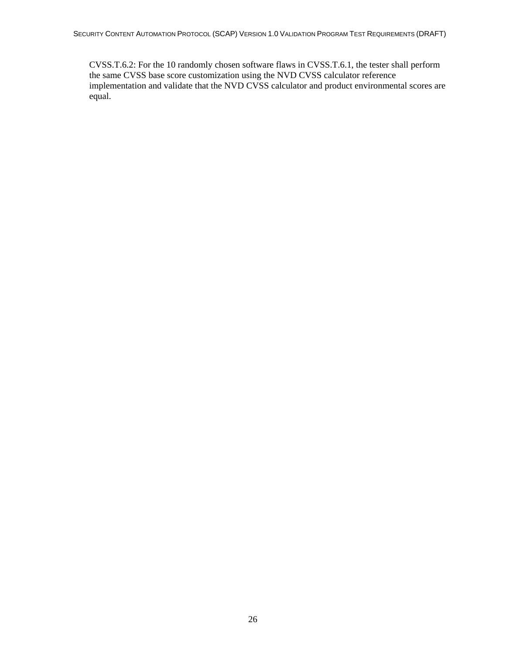CVSS.T.6.2: For the 10 randomly chosen software flaws in CVSS.T.6.1, the tester shall perform the same CVSS base score customization using the NVD CVSS calculator reference implementation and validate that the NVD CVSS calculator and product environmental scores are equal.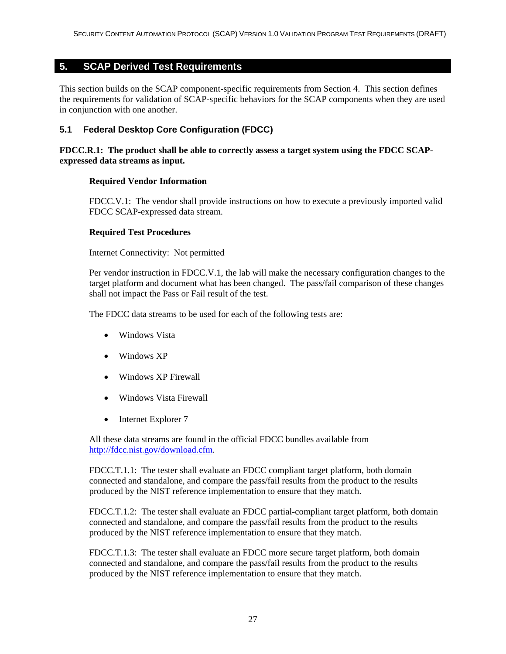#### <span id="page-33-0"></span>**5. SCAP Derived Test Requirements**

This section builds on the SCAP component-specific requirements from Section 4. This section defines the requirements for validation of SCAP-specific behaviors for the SCAP components when they are used in conjunction with one another.

#### **5.1 Federal Desktop Core Configuration (FDCC)**

#### **FDCC.R.1: The product shall be able to correctly assess a target system using the FDCC SCAPexpressed data streams as input.**

#### **Required Vendor Information**

FDCC.V.1: The vendor shall provide instructions on how to execute a previously imported valid FDCC SCAP-expressed data stream.

#### **Required Test Procedures**

Internet Connectivity: Not permitted

Per vendor instruction in FDCC.V.1, the lab will make the necessary configuration changes to the target platform and document what has been changed. The pass/fail comparison of these changes shall not impact the Pass or Fail result of the test.

The FDCC data streams to be used for each of the following tests are:

- Windows Vista
- Windows XP
- Windows XP Firewall
- Windows Vista Firewall
- Internet Explorer 7

All these data streams are found in the official FDCC bundles available from <http://fdcc.nist.gov/download.cfm>.

FDCC.T.1.1: The tester shall evaluate an FDCC compliant target platform, both domain connected and standalone, and compare the pass/fail results from the product to the results produced by the NIST reference implementation to ensure that they match.

FDCC.T.1.2: The tester shall evaluate an FDCC partial-compliant target platform, both domain connected and standalone, and compare the pass/fail results from the product to the results produced by the NIST reference implementation to ensure that they match.

FDCC.T.1.3: The tester shall evaluate an FDCC more secure target platform, both domain connected and standalone, and compare the pass/fail results from the product to the results produced by the NIST reference implementation to ensure that they match.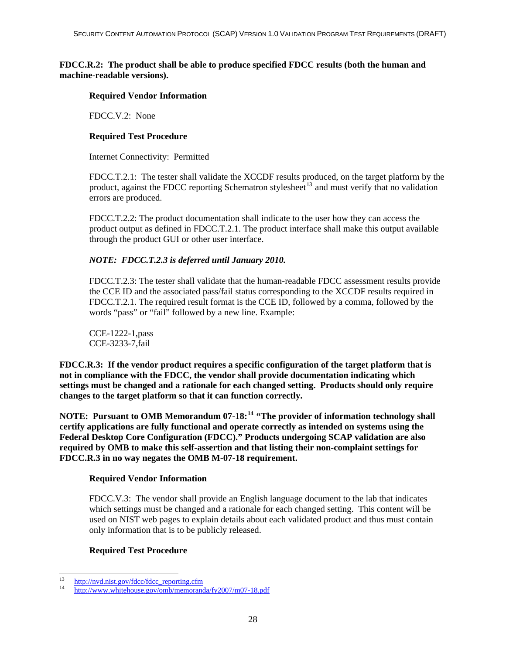#### **FDCC.R.2: The product shall be able to produce specified FDCC results (both the human and machine-readable versions).**

#### **Required Vendor Information**

FDCC.V.2: None

#### **Required Test Procedure**

Internet Connectivity: Permitted

FDCC.T.2.1: The tester shall validate the XCCDF results produced, on the target platform by the product, against the FDCC reporting Schematron stylesheet<sup>[13](#page-34-0)</sup> and must verify that no validation errors are produced.

FDCC.T.2.2: The product documentation shall indicate to the user how they can access the product output as defined in FDCC.T.2.1. The product interface shall make this output available through the product GUI or other user interface.

#### *NOTE: FDCC.T.2.3 is deferred until January 2010.*

FDCC.T.2.3: The tester shall validate that the human-readable FDCC assessment results provide the CCE ID and the associated pass/fail status corresponding to the XCCDF results required in FDCC.T.2.1. The required result format is the CCE ID, followed by a comma, followed by the words "pass" or "fail" followed by a new line. Example:

CCE-1222-1,pass CCE-3233-7,fail

**FDCC.R.3: If the vendor product requires a specific configuration of the target platform that is not in compliance with the FDCC, the vendor shall provide documentation indicating which settings must be changed and a rationale for each changed setting. Products should only require changes to the target platform so that it can function correctly.** 

**NOTE: Pursuant to OMB Memorandum 07-18:[14](#page-34-1) "The provider of information technology shall certify applications are fully functional and operate correctly as intended on systems using the Federal Desktop Core Configuration (FDCC)." Products undergoing SCAP validation are also required by OMB to make this self-assertion and that listing their non-complaint settings for FDCC.R.3 in no way negates the OMB M-07-18 requirement.**

#### **Required Vendor Information**

FDCC.V.3: The vendor shall provide an English language document to the lab that indicates which settings must be changed and a rationale for each changed setting. This content will be used on NIST web pages to explain details about each validated product and thus must contain only information that is to be publicly released.

#### **Required Test Procedure**

<sup>13</sup> 

<span id="page-34-1"></span><span id="page-34-0"></span><sup>&</sup>lt;sup>13</sup> http://nvd.nist.gov/fdcc/fdcc\_reporting.cfm<br><sup>14</sup> <http://www.whitehouse.gov/omb/memoranda/fy2007/m07-18.pdf>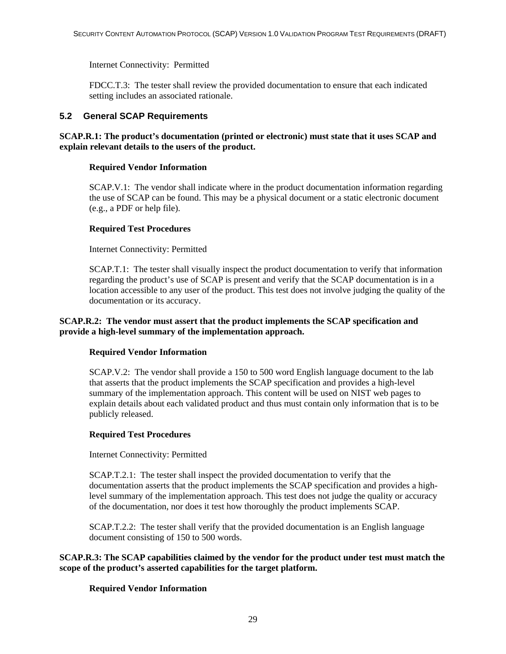<span id="page-35-0"></span>Internet Connectivity: Permitted

FDCC.T.3: The tester shall review the provided documentation to ensure that each indicated setting includes an associated rationale.

#### **5.2 General SCAP Requirements**

#### **SCAP.R.1: The product's documentation (printed or electronic) must state that it uses SCAP and explain relevant details to the users of the product.**

#### **Required Vendor Information**

SCAP.V.1: The vendor shall indicate where in the product documentation information regarding the use of SCAP can be found. This may be a physical document or a static electronic document (e.g., a PDF or help file).

#### **Required Test Procedures**

Internet Connectivity: Permitted

SCAP.T.1: The tester shall visually inspect the product documentation to verify that information regarding the product's use of SCAP is present and verify that the SCAP documentation is in a location accessible to any user of the product. This test does not involve judging the quality of the documentation or its accuracy.

#### **SCAP.R.2: The vendor must assert that the product implements the SCAP specification and provide a high-level summary of the implementation approach.**

#### **Required Vendor Information**

SCAP.V.2: The vendor shall provide a 150 to 500 word English language document to the lab that asserts that the product implements the SCAP specification and provides a high-level summary of the implementation approach. This content will be used on NIST web pages to explain details about each validated product and thus must contain only information that is to be publicly released.

#### **Required Test Procedures**

Internet Connectivity: Permitted

SCAP.T.2.1: The tester shall inspect the provided documentation to verify that the documentation asserts that the product implements the SCAP specification and provides a highlevel summary of the implementation approach. This test does not judge the quality or accuracy of the documentation, nor does it test how thoroughly the product implements SCAP.

SCAP.T.2.2: The tester shall verify that the provided documentation is an English language document consisting of 150 to 500 words.

**SCAP.R.3: The SCAP capabilities claimed by the vendor for the product under test must match the scope of the product's asserted capabilities for the target platform.** 

#### **Required Vendor Information**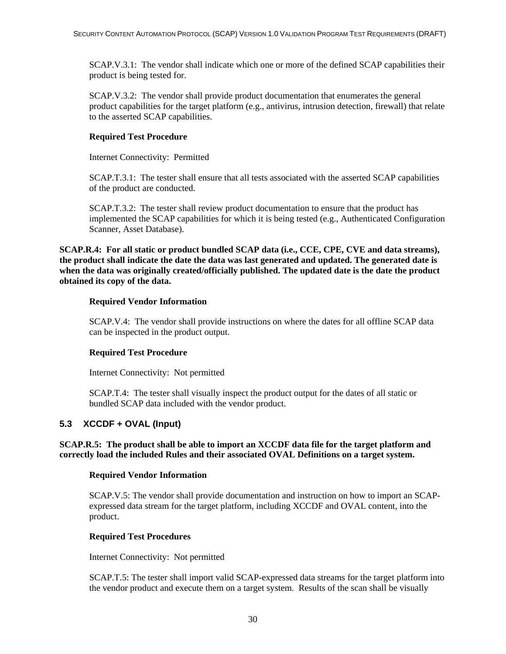<span id="page-36-0"></span>SCAP.V.3.1: The vendor shall indicate which one or more of the defined SCAP capabilities their product is being tested for.

SCAP.V.3.2: The vendor shall provide product documentation that enumerates the general product capabilities for the target platform (e.g., antivirus, intrusion detection, firewall) that relate to the asserted SCAP capabilities.

#### **Required Test Procedure**

Internet Connectivity: Permitted

SCAP.T.3.1: The tester shall ensure that all tests associated with the asserted SCAP capabilities of the product are conducted.

SCAP.T.3.2: The tester shall review product documentation to ensure that the product has implemented the SCAP capabilities for which it is being tested (e.g., Authenticated Configuration Scanner, Asset Database).

**SCAP.R.4: For all static or product bundled SCAP data (i.e., CCE, CPE, CVE and data streams), the product shall indicate the date the data was last generated and updated. The generated date is when the data was originally created/officially published. The updated date is the date the product obtained its copy of the data.** 

#### **Required Vendor Information**

SCAP.V.4: The vendor shall provide instructions on where the dates for all offline SCAP data can be inspected in the product output.

#### **Required Test Procedure**

Internet Connectivity: Not permitted

SCAP.T.4: The tester shall visually inspect the product output for the dates of all static or bundled SCAP data included with the vendor product.

#### **5.3 XCCDF + OVAL (Input)**

#### **SCAP.R.5: The product shall be able to import an XCCDF data file for the target platform and correctly load the included Rules and their associated OVAL Definitions on a target system.**

#### **Required Vendor Information**

SCAP.V.5: The vendor shall provide documentation and instruction on how to import an SCAPexpressed data stream for the target platform, including XCCDF and OVAL content, into the product.

#### **Required Test Procedures**

Internet Connectivity: Not permitted

SCAP.T.5: The tester shall import valid SCAP-expressed data streams for the target platform into the vendor product and execute them on a target system. Results of the scan shall be visually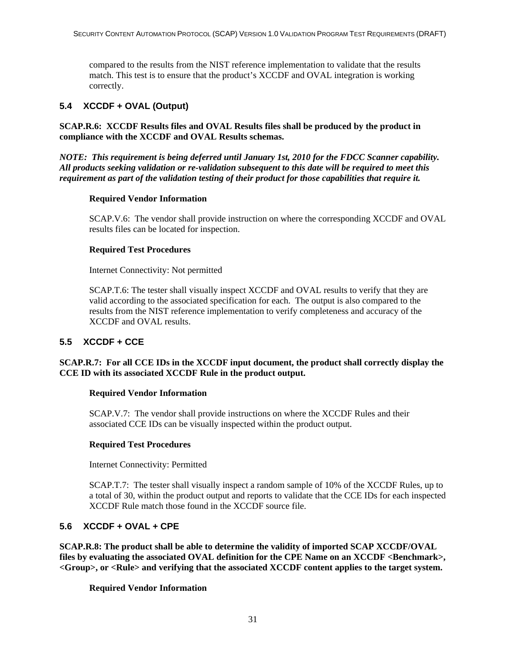<span id="page-37-0"></span>compared to the results from the NIST reference implementation to validate that the results match. This test is to ensure that the product's XCCDF and OVAL integration is working correctly.

#### **5.4 XCCDF + OVAL (Output)**

**SCAP.R.6: XCCDF Results files and OVAL Results files shall be produced by the product in compliance with the XCCDF and OVAL Results schemas.** 

*NOTE: This requirement is being deferred until January 1st, 2010 for the FDCC Scanner capability. All products seeking validation or re-validation subsequent to this date will be required to meet this requirement as part of the validation testing of their product for those capabilities that require it.* 

#### **Required Vendor Information**

SCAP.V.6: The vendor shall provide instruction on where the corresponding XCCDF and OVAL results files can be located for inspection.

#### **Required Test Procedures**

Internet Connectivity: Not permitted

SCAP.T.6: The tester shall visually inspect XCCDF and OVAL results to verify that they are valid according to the associated specification for each. The output is also compared to the results from the NIST reference implementation to verify completeness and accuracy of the XCCDF and OVAL results.

#### **5.5 XCCDF + CCE**

#### **SCAP.R.7: For all CCE IDs in the XCCDF input document, the product shall correctly display the CCE ID with its associated XCCDF Rule in the product output.**

#### **Required Vendor Information**

SCAP.V.7: The vendor shall provide instructions on where the XCCDF Rules and their associated CCE IDs can be visually inspected within the product output.

#### **Required Test Procedures**

Internet Connectivity: Permitted

SCAP.T.7: The tester shall visually inspect a random sample of 10% of the XCCDF Rules, up to a total of 30, within the product output and reports to validate that the CCE IDs for each inspected XCCDF Rule match those found in the XCCDF source file.

#### **5.6 XCCDF + OVAL + CPE**

**SCAP.R.8: The product shall be able to determine the validity of imported SCAP XCCDF/OVAL**  files by evaluating the associated OVAL definition for the CPE Name on an XCCDF <Benchmark>, **<Group>, or <Rule> and verifying that the associated XCCDF content applies to the target system.** 

#### **Required Vendor Information**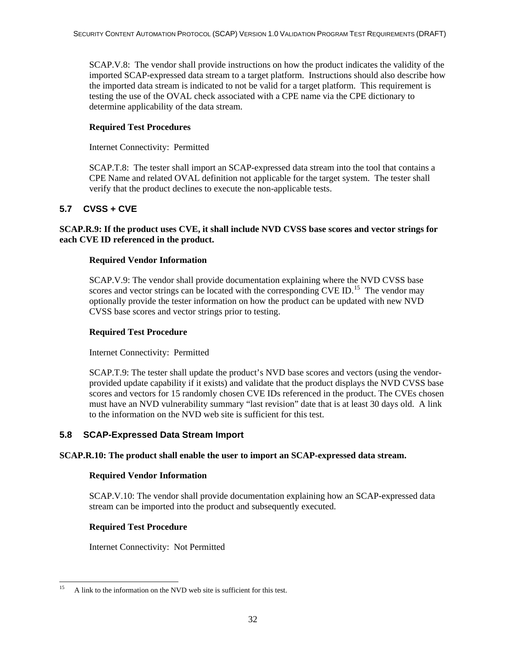<span id="page-38-0"></span>SCAP.V.8: The vendor shall provide instructions on how the product indicates the validity of the imported SCAP-expressed data stream to a target platform. Instructions should also describe how the imported data stream is indicated to not be valid for a target platform. This requirement is testing the use of the OVAL check associated with a CPE name via the CPE dictionary to determine applicability of the data stream.

#### **Required Test Procedures**

Internet Connectivity: Permitted

SCAP.T.8: The tester shall import an SCAP-expressed data stream into the tool that contains a CPE Name and related OVAL definition not applicable for the target system. The tester shall verify that the product declines to execute the non-applicable tests.

#### **5.7 CVSS + CVE**

#### **SCAP.R.9: If the product uses CVE, it shall include NVD CVSS base scores and vector strings for each CVE ID referenced in the product.**

#### **Required Vendor Information**

SCAP.V.9: The vendor shall provide documentation explaining where the NVD CVSS base scores and vector strings can be located with the corresponding  $CVE ID$ .<sup>[15](#page-38-1)</sup> The vendor may optionally provide the tester information on how the product can be updated with new NVD CVSS base scores and vector strings prior to testing.

#### **Required Test Procedure**

Internet Connectivity: Permitted

SCAP.T.9: The tester shall update the product's NVD base scores and vectors (using the vendorprovided update capability if it exists) and validate that the product displays the NVD CVSS base scores and vectors for 15 randomly chosen CVE IDs referenced in the product. The CVEs chosen must have an NVD vulnerability summary "last revision" date that is at least 30 days old. A link to the information on the NVD web site is sufficient for this test.

#### **5.8 SCAP-Expressed Data Stream Import**

#### **SCAP.R.10: The product shall enable the user to import an SCAP-expressed data stream.**

#### **Required Vendor Information**

SCAP.V.10: The vendor shall provide documentation explaining how an SCAP-expressed data stream can be imported into the product and subsequently executed.

#### **Required Test Procedure**

Internet Connectivity: Not Permitted

<span id="page-38-1"></span><sup>15</sup> 15 A link to the information on the NVD web site is sufficient for this test.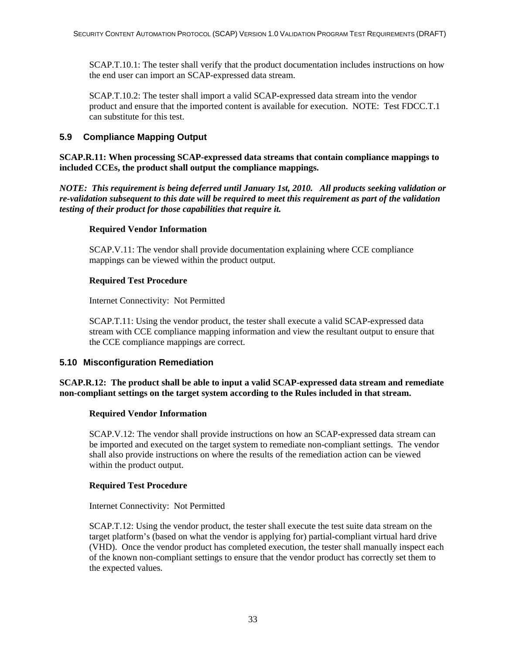<span id="page-39-0"></span>SCAP.T.10.1: The tester shall verify that the product documentation includes instructions on how the end user can import an SCAP-expressed data stream.

SCAP.T.10.2: The tester shall import a valid SCAP-expressed data stream into the vendor product and ensure that the imported content is available for execution. NOTE: Test FDCC.T.1 can substitute for this test.

#### **5.9 Compliance Mapping Output**

#### **SCAP.R.11: When processing SCAP-expressed data streams that contain compliance mappings to included CCEs, the product shall output the compliance mappings.**

*NOTE: This requirement is being deferred until January 1st, 2010. All products seeking validation or re-validation subsequent to this date will be required to meet this requirement as part of the validation testing of their product for those capabilities that require it.* 

#### **Required Vendor Information**

SCAP.V.11: The vendor shall provide documentation explaining where CCE compliance mappings can be viewed within the product output.

#### **Required Test Procedure**

Internet Connectivity: Not Permitted

SCAP.T.11: Using the vendor product, the tester shall execute a valid SCAP-expressed data stream with CCE compliance mapping information and view the resultant output to ensure that the CCE compliance mappings are correct.

#### **5.10 Misconfiguration Remediation**

#### **SCAP.R.12: The product shall be able to input a valid SCAP-expressed data stream and remediate non-compliant settings on the target system according to the Rules included in that stream.**

#### **Required Vendor Information**

SCAP.V.12: The vendor shall provide instructions on how an SCAP-expressed data stream can be imported and executed on the target system to remediate non-compliant settings. The vendor shall also provide instructions on where the results of the remediation action can be viewed within the product output.

#### **Required Test Procedure**

Internet Connectivity: Not Permitted

SCAP.T.12: Using the vendor product, the tester shall execute the test suite data stream on the target platform's (based on what the vendor is applying for) partial-compliant virtual hard drive (VHD). Once the vendor product has completed execution, the tester shall manually inspect each of the known non-compliant settings to ensure that the vendor product has correctly set them to the expected values.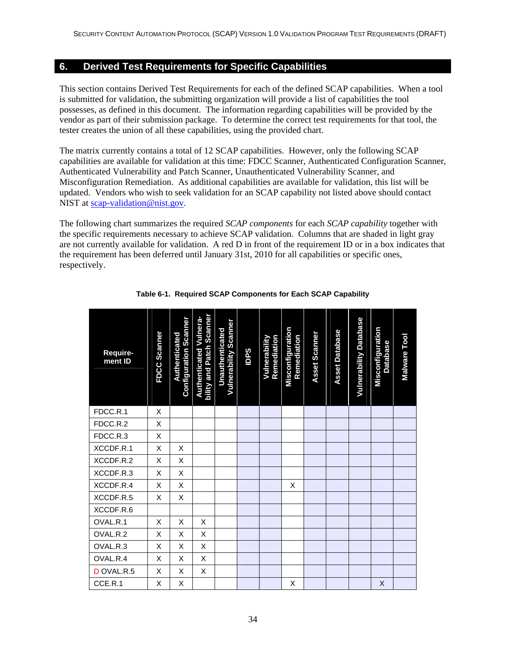#### <span id="page-40-0"></span>**6. Derived Test Requirements for Specific Capabilities**

This section contains Derived Test Requirements for each of the defined SCAP capabilities. When a tool is submitted for validation, the submitting organization will provide a list of capabilities the tool possesses, as defined in this document. The information regarding capabilities will be provided by the vendor as part of their submission package. To determine the correct test requirements for that tool, the tester creates the union of all these capabilities, using the provided chart.

The matrix currently contains a total of 12 SCAP capabilities. However, only the following SCAP capabilities are available for validation at this time: FDCC Scanner, Authenticated Configuration Scanner, Authenticated Vulnerability and Patch Scanner, Unauthenticated Vulnerability Scanner, and Misconfiguration Remediation. As additional capabilities are available for validation, this list will be updated. Vendors who wish to seek validation for an SCAP capability not listed above should contact NIST at [scap-validation@nist.gov](mailto:scap-validation@nist.gov).

The following chart summarizes the required *SCAP components* for each *SCAP capability* together with the specific requirements necessary to achieve SCAP validation. Columns that are shaded in light gray are not currently available for validation. A red D in front of the requirement ID or in a box indicates that the requirement has been deferred until January 31st, 2010 for all capabilities or specific ones, respectively.

| Require-<br>ment ID | FDCC Scanner | <b>Configuration Scanner</b><br>Authenticated | bility and Patch Scanner<br><b>Authenticated Vulnera-</b> | <b>Vulnerability Scanner</b><br>Unauthenticated | <b>Sdal</b> | Remediation<br>Vulnerability | Misconfiguration<br>Remediation | <b>Asset Scanner</b> | <b>Asset Database</b> | <b>Vulnerability Database</b> | Misconfiguration<br><b>Database</b> | Malware Tool |
|---------------------|--------------|-----------------------------------------------|-----------------------------------------------------------|-------------------------------------------------|-------------|------------------------------|---------------------------------|----------------------|-----------------------|-------------------------------|-------------------------------------|--------------|
| FDCC.R.1            | X            |                                               |                                                           |                                                 |             |                              |                                 |                      |                       |                               |                                     |              |
| FDCC.R.2            | X            |                                               |                                                           |                                                 |             |                              |                                 |                      |                       |                               |                                     |              |
| FDCC.R.3            | X            |                                               |                                                           |                                                 |             |                              |                                 |                      |                       |                               |                                     |              |
| XCCDF.R.1           | X            | X                                             |                                                           |                                                 |             |                              |                                 |                      |                       |                               |                                     |              |
| XCCDF.R.2           | X            | X                                             |                                                           |                                                 |             |                              |                                 |                      |                       |                               |                                     |              |
| XCCDF.R.3           | X            | X                                             |                                                           |                                                 |             |                              |                                 |                      |                       |                               |                                     |              |
| XCCDF.R.4           | X            | X                                             |                                                           |                                                 |             |                              | X                               |                      |                       |                               |                                     |              |
| XCCDF.R.5           | X            | Χ                                             |                                                           |                                                 |             |                              |                                 |                      |                       |                               |                                     |              |
| XCCDF.R.6           |              |                                               |                                                           |                                                 |             |                              |                                 |                      |                       |                               |                                     |              |
| OVAL.R.1            | X            | X                                             | X                                                         |                                                 |             |                              |                                 |                      |                       |                               |                                     |              |
| OVAL.R.2            | X            | X                                             | X                                                         |                                                 |             |                              |                                 |                      |                       |                               |                                     |              |
| OVAL.R.3            | X            | X                                             | X                                                         |                                                 |             |                              |                                 |                      |                       |                               |                                     |              |
| OVAL.R.4            | X            | X                                             | X                                                         |                                                 |             |                              |                                 |                      |                       |                               |                                     |              |
| D OVAL.R.5          | X            | X                                             | X                                                         |                                                 |             |                              |                                 |                      |                       |                               |                                     |              |
| CCE.R.1             | X            | X                                             |                                                           |                                                 |             |                              | X                               |                      |                       |                               | X                                   |              |

**Table 6-1. Required SCAP Components for Each SCAP Capability**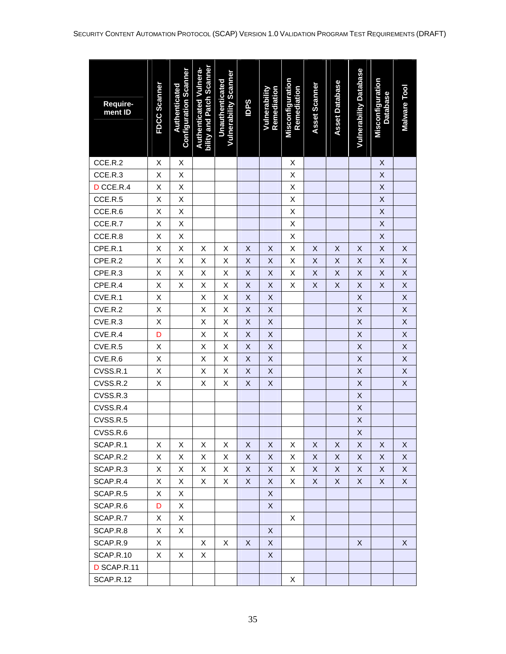| Require-<br>ment ID | FDCC Scanner | <b>Configuration Scanner</b><br>Authenticated | bility and Patch Scanner<br><b>Authenticated Vulnera-</b> | <b>Vulnerability Scanner</b><br><b>Unauthenticated</b> | <b>Sddl</b> | Remediation<br>Vulnerability | Misconfiguration<br>Remediation | Asset Scanner | <b>Asset Database</b> | <b>Vulnerability Database</b> | Misconfiguration<br><b>Database</b> | Malware Tool       |
|---------------------|--------------|-----------------------------------------------|-----------------------------------------------------------|--------------------------------------------------------|-------------|------------------------------|---------------------------------|---------------|-----------------------|-------------------------------|-------------------------------------|--------------------|
| CCE.R.2             | Χ            | Χ                                             |                                                           |                                                        |             |                              | X                               |               |                       |                               | $\pmb{\times}$                      |                    |
| CCE.R.3             | Χ            | Χ                                             |                                                           |                                                        |             |                              | Χ                               |               |                       |                               | $\mathsf X$                         |                    |
| D CCE.R.4           | Χ            | Χ                                             |                                                           |                                                        |             |                              | Χ                               |               |                       |                               | $\mathsf X$                         |                    |
| CCE.R.5             | Χ            | Χ                                             |                                                           |                                                        |             |                              | Χ                               |               |                       |                               | $\mathsf X$                         |                    |
| CCE.R.6             | X            | X                                             |                                                           |                                                        |             |                              | X                               |               |                       |                               | $\sf X$                             |                    |
| CCE.R.7             | Χ            | Χ                                             |                                                           |                                                        |             |                              | X                               |               |                       |                               | $\mathsf X$                         |                    |
| CCE.R.8             | Χ            | Χ                                             |                                                           |                                                        |             |                              | Χ                               |               |                       |                               | X                                   |                    |
| CPE.R.1             | Χ            | Χ                                             | X                                                         | X                                                      | Χ           | X                            | Χ                               | X             | X                     | X                             | $\mathsf X$                         | $\sf X$            |
| CPE.R.2             | Χ            | Χ                                             | Χ                                                         | Χ                                                      | X           | X                            | Χ                               | $\mathsf X$   | $\mathsf X$           | $\sf X$                       | $\mathsf X$                         | X                  |
| CPE.R.3             | Χ            | X                                             | Χ                                                         | X                                                      | X           | X                            | Χ                               | $\sf X$       | Χ                     | $\mathsf X$                   | X                                   | X                  |
| CPE.R.4             | X            | Χ                                             | Χ                                                         | X                                                      | Χ           | X                            | X                               | X             | X                     | X                             | X                                   | $\mathsf X$        |
| CVE.R.1             | Χ            |                                               | Χ                                                         | Χ                                                      | X           | X                            |                                 |               |                       | $\mathsf X$                   |                                     | X                  |
| CVE.R.2             | X            |                                               | Χ                                                         | Χ                                                      | X           | X                            |                                 |               |                       | $\mathsf X$                   |                                     | X                  |
| CVE.R.3             | X            |                                               | X                                                         | Χ                                                      | X           | X                            |                                 |               |                       | X                             |                                     | X                  |
| CVE.R.4             | D            |                                               | Χ                                                         | Χ                                                      | X           | X                            |                                 |               |                       | $\mathsf X$                   |                                     | $\pmb{\mathsf{X}}$ |
| CVE.R.5             | Χ            |                                               | X                                                         | Χ                                                      | X           | X                            |                                 |               |                       | $\mathsf X$                   |                                     | $\pmb{\mathsf{X}}$ |
| CVE.R.6             | Χ            |                                               | Χ                                                         | Χ                                                      | X           | X                            |                                 |               |                       | $\mathsf X$                   |                                     | $\pmb{\mathsf{X}}$ |
| CVSS.R.1            | X            |                                               | X                                                         | X                                                      | X           | X                            |                                 |               |                       | $\sf X$                       |                                     | $\sf X$            |
| CVSS.R.2            | Χ            |                                               | Χ                                                         | X                                                      | X           | X                            |                                 |               |                       | $\mathsf X$                   |                                     | $\sf X$            |
| CVSS.R.3            |              |                                               |                                                           |                                                        |             |                              |                                 |               |                       | $\mathsf X$                   |                                     |                    |
| CVSS.R.4            |              |                                               |                                                           |                                                        |             |                              |                                 |               |                       | $\pmb{\mathsf{X}}$            |                                     |                    |
| CVSS.R.5            |              |                                               |                                                           |                                                        |             |                              |                                 |               |                       | $\mathsf X$                   |                                     |                    |
| CVSS.R.6            |              |                                               |                                                           |                                                        |             |                              |                                 |               |                       | X                             |                                     |                    |
| SCAP.R.1            | X            | X                                             | X                                                         | X                                                      | X           | X                            | X                               | X             | X                     | X                             | X                                   | X                  |
| SCAP.R.2            | X            | Χ                                             | X                                                         | X                                                      | X           | X                            | X                               | X             | X                     | X                             | X                                   | X                  |
| SCAP.R.3            | X            | X                                             | X                                                         | X                                                      | X           | X                            | X                               | X             | X                     | X                             | X                                   | X                  |
| SCAP.R.4            | X            | X                                             | X                                                         | X                                                      | X           | X                            | Χ                               | X             | X                     | X                             | X                                   | X                  |
| SCAP.R.5            | X            | Χ                                             |                                                           |                                                        |             | X                            |                                 |               |                       |                               |                                     |                    |
| SCAP.R.6            | D            | Χ                                             |                                                           |                                                        |             | X                            |                                 |               |                       |                               |                                     |                    |
| SCAP.R.7            | X            | X                                             |                                                           |                                                        |             |                              | X                               |               |                       |                               |                                     |                    |
| SCAP.R.8            | X            | X                                             |                                                           |                                                        |             | X                            |                                 |               |                       |                               |                                     |                    |
| SCAP.R.9            | X            |                                               | X                                                         | X                                                      | X           | X                            |                                 |               |                       | X                             |                                     | X                  |
| SCAP.R.10           | X            | X                                             | X                                                         |                                                        |             | X                            |                                 |               |                       |                               |                                     |                    |
| D SCAP.R.11         |              |                                               |                                                           |                                                        |             |                              |                                 |               |                       |                               |                                     |                    |
| SCAP.R.12           |              |                                               |                                                           |                                                        |             |                              | Χ                               |               |                       |                               |                                     |                    |